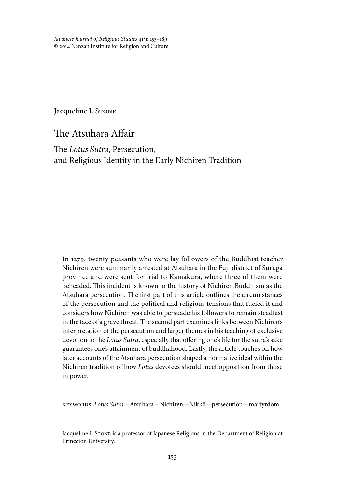*Japanese Journal of Religious Studies* 41/1: 153–189 © 2014 Nanzan Institute for Religion and Culture

Jacqueline I. STONE

The Atsuhara Affair

The *Lotus Sutra*, Persecution, and Religious Identity in the Early Nichiren Tradition

In 1279, twenty peasants who were lay followers of the Buddhist teacher Nichiren were summarily arrested at Atsuhara in the Fuji district of Suruga province and were sent for trial to Kamakura, where three of them were beheaded. This incident is known in the history of Nichiren Buddhism as the Atsuhara persecution. The first part of this article outlines the circumstances of the persecution and the political and religious tensions that fueled it and considers how Nichiren was able to persuade his followers to remain steadfast in the face of a grave threat. The second part examines links between Nichiren's interpretation of the persecution and larger themes in his teaching of exclusive devotion to the *Lotus Sutra*, especially that offering one's life for the sutra's sake guarantees one's attainment of buddhahood. Lastly, the article touches on how later accounts of the Atsuhara persecution shaped a normative ideal within the Nichiren tradition of how *Lotus* devotees should meet opposition from those in power.

keywords: *Lotus Sutra*—Atsuhara—Nichiren—Nikkō—persecution—martyrdom

Jacqueline I. Stone is a professor of Japanese Religions in the Department of Religion at Princeton University.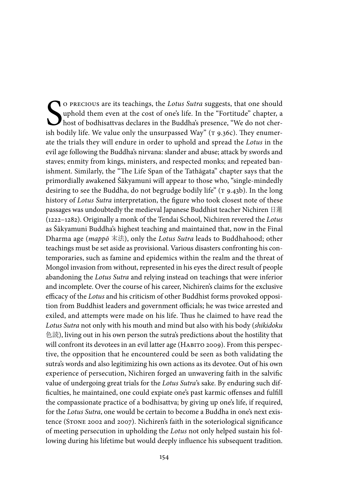O PRECIOUS are its teachings, the *Lotus Sutra* suggests, that one should uphold them even at the cost of one's life. In the "Fortitude" chapter, a host of bodhisattvas declares in the Buddha's presence, "We do not cherish o precious are its teachings, the *Lotus Sutra* suggests, that one should uphold them even at the cost of one's life. In the "Fortitude" chapter, a  $J<sub>host</sub>$  of bodhisattvas declares in the Buddha's presence, "We do not cherate the trials they will endure in order to uphold and spread the *Lotus* in the evil age following the Buddha's nirvana: slander and abuse; attack by swords and staves; enmity from kings, ministers, and respected monks; and repeated banishment. Similarly, the "The Life Span of the Tathāgata" chapter says that the primordially awakened Śākyamuni will appear to those who, "single-mindedly desiring to see the Buddha, do not begrudge bodily life" (T 9.43b). In the long history of *Lotus Sutra* interpretation, the figure who took closest note of these passages was undoubtedly the medieval Japanese Buddhist teacher Nichiren 日蓮 (1222–1282). Originally a monk of the Tendai School, Nichiren revered the *Lotus* as Śākyamuni Buddha's highest teaching and maintained that, now in the Final Dharma age (*mappō* 末法), only the *Lotus Sutra* leads to Buddhahood; other teachings must be set aside as provisional. Various disasters confronting his contemporaries, such as famine and epidemics within the realm and the threat of Mongol invasion from without, represented in his eyes the direct result of people abandoning the *Lotus Sutra* and relying instead on teachings that were inferior and incomplete. Over the course of his career, Nichiren's claims for the exclusive efficacy of the *Lotus* and his criticism of other Buddhist forms provoked opposition from Buddhist leaders and government officials; he was twice arrested and exiled, and attempts were made on his life. Thus he claimed to have read the *Lotus Sutra* not only with his mouth and mind but also with his body (*shikidoku*  色読), living out in his own person the sutra's predictions about the hostility that will confront its devotees in an evil latter age (HABITO 2009). From this perspective, the opposition that he encountered could be seen as both validating the sutra's words and also legitimizing his own actions as its devotee. Out of his own experience of persecution, Nichiren forged an unwavering faith in the salvific value of undergoing great trials for the *Lotus Sutra*'s sake. By enduring such difficulties, he maintained, one could expiate one's past karmic offenses and fulfill the compassionate practice of a bodhisattva; by giving up one's life, if required, for the *Lotus Sutra*, one would be certain to become a Buddha in one's next existence (Stone 2002 and 2007). Nichiren's faith in the soteriological significance of meeting persecution in upholding the *Lotus* not only helped sustain his following during his lifetime but would deeply influence his subsequent tradition.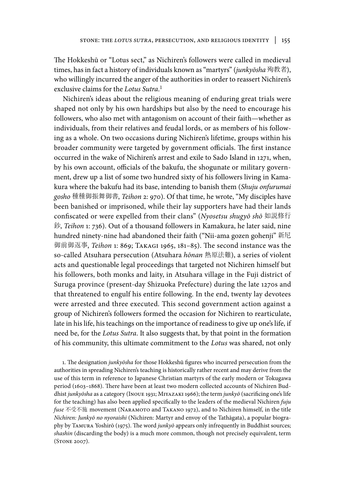The Hokkeshū or "Lotus sect," as Nichiren's followers were called in medieval times, has in fact a history of individuals known as "martyrs" (*junkyōsha* 殉教者), who willingly incurred the anger of the authorities in order to reassert Nichiren's exclusive claims for the *Lotus Sutra*. 1

Nichiren's ideas about the religious meaning of enduring great trials were shaped not only by his own hardships but also by the need to encourage his followers, who also met with antagonism on account of their faith—whether as individuals, from their relatives and feudal lords, or as members of his following as a whole. On two occasions during Nichiren's lifetime, groups within his broader community were targeted by government officials. The first instance occurred in the wake of Nichiren's arrest and exile to Sado Island in 1271, when, by his own account, officials of the bakufu, the shogunate or military government, drew up a list of some two hundred sixty of his followers living in Kamakura where the bakufu had its base, intending to banish them (*Shuju onfurumai gosho* 種種御振舞御書, *Teihon* 2: 970). Of that time, he wrote, "My disciples have been banished or imprisoned, while their lay supporters have had their lands confiscated or were expelled from their clans" (*Nyosetsu shugyō shō* 如説修行 鈔, *Teihon* 1: 736). Out of a thousand followers in Kamakura, he later said, nine hundred ninety-nine had abandoned their faith ("Nii-ama gozen gohenji" 新尼 御前御返事, *Teihon* 1: 869; Takagi 1965, 181–85). The second instance was the so-called Atsuhara persecution (Atsuhara *hōnan* 熱原法難), a series of violent acts and questionable legal proceedings that targeted not Nichiren himself but his followers, both monks and laity, in Atsuhara village in the Fuji district of Suruga province (present-day Shizuoka Prefecture) during the late 1270s and that threatened to engulf his entire following. In the end, twenty lay devotees were arrested and three executed. This second government action against a group of Nichiren's followers formed the occasion for Nichiren to rearticulate, late in his life, his teachings on the importance of readiness to give up one's life, if need be, for the *Lotus Sutra*. It also suggests that, by that point in the formation of his community, this ultimate commitment to the *Lotus* was shared, not only

1. The designation *junkyōsha* for those Hokkeshū figures who incurred persecution from the authorities in spreading Nichiren's teaching is historically rather recent and may derive from the use of this term in reference to Japanese Christian martyrs of the early modern or Tokugawa period (1603–1868). There have been at least two modern collected accounts of Nichiren Buddhist *junkyōsha* as a category (Inoue 1931; Miyazaki 1966); the term *junkyō* (sacrificing one's life for the teaching) has also been applied specifically to the leaders of the medieval Nichiren *fuju fuse* 不受不施 movement (Naramoto and Takano 1972), and to Nichiren himself, in the title *Nichiren: Junkyō no nyoraishi* (Nichiren: Martyr and envoy of the Tathāgata), a popular biography by Tamura Yoshirō (1975). The word *junkyō* appears only infrequently in Buddhist sources; *shashin* (discarding the body) is a much more common, though not precisely equivalent, term (Stone 2007).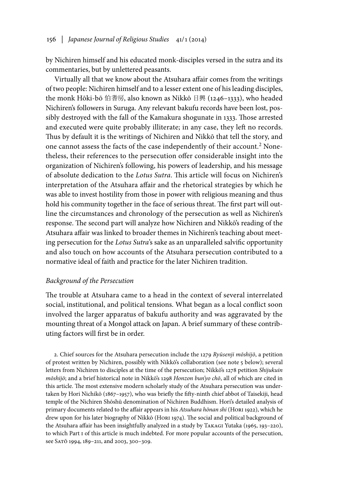by Nichiren himself and his educated monk-disciples versed in the sutra and its commentaries, but by unlettered peasants.

Virtually all that we know about the Atsuhara affair comes from the writings of two people: Nichiren himself and to a lesser extent one of his leading disciples, the monk Hōki-bō 伯耆房, also known as Nikkō 日興 (1246–1333), who headed Nichiren's followers in Suruga. Any relevant bakufu records have been lost, possibly destroyed with the fall of the Kamakura shogunate in 1333. Those arrested and executed were quite probably illiterate; in any case, they left no records. Thus by default it is the writings of Nichiren and Nikkō that tell the story, and one cannot assess the facts of the case independently of their account.2 Nonetheless, their references to the persecution offer considerable insight into the organization of Nichiren's following, his powers of leadership, and his message of absolute dedication to the *Lotus Sutra*. This article will focus on Nichiren's interpretation of the Atsuhara affair and the rhetorical strategies by which he was able to invest hostility from those in power with religious meaning and thus hold his community together in the face of serious threat. The first part will outline the circumstances and chronology of the persecution as well as Nichiren's response. The second part will analyze how Nichiren and Nikkō's reading of the Atsuhara affair was linked to broader themes in Nichiren's teaching about meeting persecution for the *Lotus Sutra*'s sake as an unparalleled salvific opportunity and also touch on how accounts of the Atsuhara persecution contributed to a normative ideal of faith and practice for the later Nichiren tradition.

### *Background of the Persecution*

The trouble at Atsuhara came to a head in the context of several interrelated social, institutional, and political tensions. What began as a local conflict soon involved the larger apparatus of bakufu authority and was aggravated by the mounting threat of a Mongol attack on Japan. A brief summary of these contributing factors will first be in order.

2. Chief sources for the Atsuhara persecution include the 1279 *Ryūsenji mōshijō*, a petition of protest written by Nichiren, possibly with Nikkō's collaboration (see note 5 below); several letters from Nichiren to disciples at the time of the persecution; Nikkō's 1278 petition *Shijukuin mōshijō*; and a brief historical note in Nikkō's 1298 *Honzon bun'yo chō*, all of which are cited in this article. The most extensive modern scholarly study of the Atsuhara persecution was undertaken by Hori Nichikō (1867–1957), who was briefly the fifty-ninth chief abbot of Taisekiji, head temple of the Nichiren Shōshū denomination of Nichiren Buddhism. Hori's detailed analysis of primary documents related to the affair appears in his *Atsuhara hōnan shi* (Hori 1922), which he drew upon for his later biography of Nikkō (Hori 1974). The social and political background of the Atsuhara affair has been insightfully analyzed in a study by Takagi Yutaka (1965, 193–220), to which Part I of this article is much indebted. For more popular accounts of the persecution, see SAT<sub>O</sub> 1994, 189-211, and 2003, 300-309.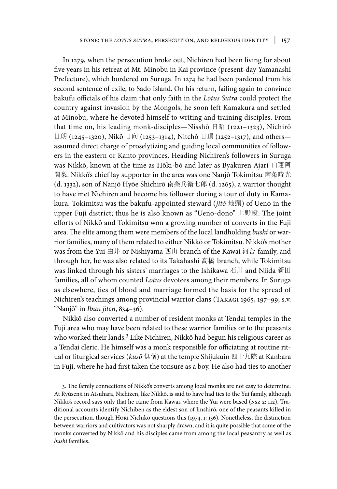In 1279, when the persecution broke out, Nichiren had been living for about five years in his retreat at Mt. Minobu in Kai province (present-day Yamanashi Prefecture), which bordered on Suruga. In 1274 he had been pardoned from his second sentence of exile, to Sado Island. On his return, failing again to convince bakufu officials of his claim that only faith in the *Lotus Sutra* could protect the country against invasion by the Mongols, he soon left Kamakura and settled at Minobu, where he devoted himself to writing and training disciples. From that time on, his leading monk-disciples—Nisshō 日昭 (1221-1323), Nichirō 日朗 (1245–1320), Nikō 日向 (1253–1314), Nitchō 日頂 (1252–1317), and others assumed direct charge of proselytizing and guiding local communities of followers in the eastern or Kanto provinces. Heading Nichiren's followers in Suruga was Nikkō, known at the time as Hōki-bō and later as Byakuren Ajari 白蓮阿 闍梨. Nikkō's chief lay supporter in the area was one Nanjō Tokimitsu 南条時光 (d. 1332), son of Nanjō Hyōe Shichirō 南条兵衛七郎 (d. 1265), a warrior thought to have met Nichiren and become his follower during a tour of duty in Kamakura. Tokimitsu was the bakufu-appointed steward (*jitō* 地頭) of Ueno in the upper Fuji district; thus he is also known as "Ueno-dono" 上野殿. The joint efforts of Nikkō and Tokimitsu won a growing number of converts in the Fuji area. The elite among them were members of the local landholding *bushi* or warrior families, many of them related to either Nikkō or Tokimitsu. Nikkō's mother was from the Yui 由井 or Nishiyama 西山 branch of the Kawai 河合 family, and through her, he was also related to its Takahashi 高橋 branch, while Tokimitsu was linked through his sisters' marriages to the Ishikawa 石川 and Niida 新田 families, all of whom counted *Lotus* devotees among their members. In Suruga as elsewhere, ties of blood and marriage formed the basis for the spread of Nichiren's teachings among provincial warrior clans (Takagi 1965, 197–99; s.v. "Nanjō" in *Ibun jiten*, 834–36).

Nikkō also converted a number of resident monks at Tendai temples in the Fuji area who may have been related to these warrior families or to the peasants who worked their lands.<sup>3</sup> Like Nichiren, Nikkō had begun his religious career as a Tendai cleric. He himself was a monk responsible for officiating at routine ritual or liturgical services (*kusō* 供僧) at the temple Shijukuin 四十九院 at Kanbara in Fuji, where he had first taken the tonsure as a boy. He also had ties to another

3. The family connections of Nikkō's converts among local monks are not easy to determine. At Ryūsenji in Atsuhara, Nichizen, like Nikkō, is said to have had ties to the Yui family, although Nikkō's record says only that he came from Kawai, where the Yui were based (nsz 2: 112). Traditional accounts identify Nichiben as the eldest son of Jinshirō, one of the peasants killed in the persecution, though Hori Nichikō questions this (1974, 1: 136). Nonetheless, the distinction between warriors and cultivators was not sharply drawn, and it is quite possible that some of the monks converted by Nikkō and his disciples came from among the local peasantry as well as *bushi* families.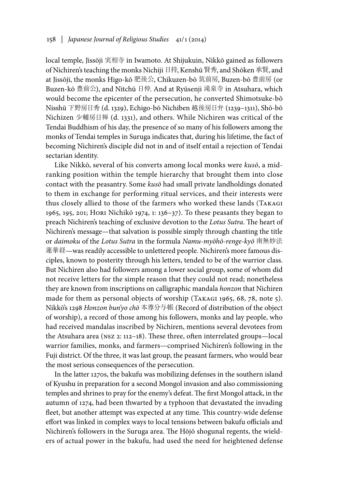local temple, Jissōji 実相寺 in Iwamoto. At Shijukuin, Nikkō gained as followers of Nichiren's teaching the monks Nichiji 日持, Kenshū 賢秀, and Shōken 承賢, and at Jissōji, the monks Higo-kō 肥後公, Chikuzen-bō 筑前房, Buzen-bō 豊前房 (or Buzen-kō 豊前公), and Nitchū 日仲. And at Ryūsenji 滝泉寺 in Atsuhara, which would become the epicenter of the persecution, he converted Shimotsuke-bō Nisshū 下野房日秀 (d. 1329), Echigo-bō Nichiben 越後房日弁 (1239–1311), Shō-bō Nichizen 少輔房日禅 (d. 1331), and others. While Nichiren was critical of the Tendai Buddhism of his day, the presence of so many of his followers among the monks of Tendai temples in Suruga indicates that, during his lifetime, the fact of becoming Nichiren's disciple did not in and of itself entail a rejection of Tendai sectarian identity.

Like Nikkō, several of his converts among local monks were *kusō*, a midranking position within the temple hierarchy that brought them into close contact with the peasantry. Some *kusō* had small private landholdings donated to them in exchange for performing ritual services, and their interests were thus closely allied to those of the farmers who worked these lands (Takagi 1965, 195, 201; Hori Nichikō 1974, 1: 136–37). To these peasants they began to preach Nichiren's teaching of exclusive devotion to the *Lotus Sutra*. The heart of Nichiren's message—that salvation is possible simply through chanting the title or *daimoku* of the *Lotus Sutra* in the formula *Namu-myōhō-renge-kyō* 南無妙法 蓮華経—was readily accessible to unlettered people. Nichiren's more famous disciples, known to posterity through his letters, tended to be of the warrior class. But Nichiren also had followers among a lower social group, some of whom did not receive letters for the simple reason that they could not read; nonetheless they are known from inscriptions on calligraphic mandala *honzon* that Nichiren made for them as personal objects of worship (TAKAGI 1965, 68, 78, note 5). Nikkō's 1298 *Honzon bun'yo chō* 本尊分与帳 (Record of distribution of the object of worship), a record of those among his followers, monks and lay people, who had received mandalas inscribed by Nichiren, mentions several devotees from the Atsuhara area (nsz 2: 112–18). These three, often interrelated groups—local warrior families, monks, and farmers—comprised Nichiren's following in the Fuji district. Of the three, it was last group, the peasant farmers, who would bear the most serious consequences of the persecution.

In the latter 1270s, the bakufu was mobilizing defenses in the southern island of Kyushu in preparation for a second Mongol invasion and also commissioning temples and shrines to pray for the enemy's defeat. The first Mongol attack, in the autumn of 1274, had been thwarted by a typhoon that devastated the invading fleet, but another attempt was expected at any time. This country-wide defense effort was linked in complex ways to local tensions between bakufu officials and Nichiren's followers in the Suruga area. The Hōjō shogunal regents, the wielders of actual power in the bakufu, had used the need for heightened defense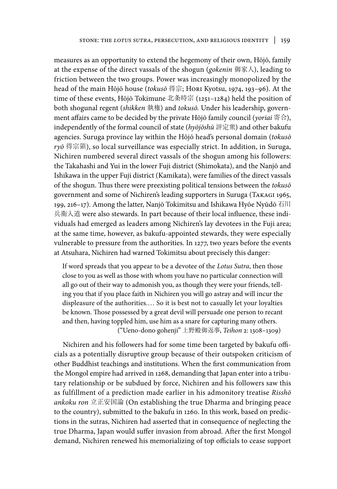measures as an opportunity to extend the hegemony of their own, Hōjō, family at the expense of the direct vassals of the shogun (*gokenin* 御家人), leading to friction between the two groups. Power was increasingly monopolized by the head of the main Hōjō house (*tokusō* 得宗; Hori Kyotsu, 1974, 193–96). At the time of these events, Hōjō Tokimune 北条時宗 (1251–1284) held the position of both shogunal regent (*shikken* 執権) and *tokusō.* Under his leadership, government affairs came to be decided by the private Hōjō family council (*yoriai* 寄合), independently of the formal council of state (*hyōjōshū* 評定衆) and other bakufu agencies. Suruga province lay within the Hōjō head's personal domain (*tokusō ryō* 得宗領), so local surveillance was especially strict. In addition, in Suruga, Nichiren numbered several direct vassals of the shogun among his followers: the Takahashi and Yui in the lower Fuji district (Shimokata), and the Nanjō and Ishikawa in the upper Fuji district (Kamikata), were families of the direct vassals of the shogun. Thus there were preexisting political tensions between the *tokusō* government and some of Nichiren's leading supporters in Suruga (Takagi 1965, 199, 216–17). Among the latter, Nanjō Tokimitsu and Ishikawa Hyōe Nyūdō 石川 兵衛入道 were also stewards. In part because of their local influence, these individuals had emerged as leaders among Nichiren's lay devotees in the Fuji area; at the same time, however, as bakufu-appointed stewards, they were especially vulnerable to pressure from the authorities. In 1277, two years before the events at Atsuhara, Nichiren had warned Tokimitsu about precisely this danger:

If word spreads that you appear to be a devotee of the *Lotus Sutra*, then those close to you as well as those with whom you have no particular connection will all go out of their way to admonish you, as though they were your friends, telling you that if you place faith in Nichiren you will go astray and will incur the displeasure of the authorities.… So it is best not to casually let your loyalties be known. Those possessed by a great devil will persuade one person to recant and then, having toppled him, use him as a snare for capturing many others.

("Ueno-dono gohenji" 上野殿御返事, *Teihon* 2: 1308–1309)

Nichiren and his followers had for some time been targeted by bakufu officials as a potentially disruptive group because of their outspoken criticism of other Buddhist teachings and institutions. When the first communication from the Mongol empire had arrived in 1268, demanding that Japan enter into a tributary relationship or be subdued by force, Nichiren and his followers saw this as fulfillment of a prediction made earlier in his admonitory treatise *Risshō ankoku ron* 立正安国論 (On establishing the true Dharma and bringing peace to the country), submitted to the bakufu in 1260. In this work, based on predictions in the sutras, Nichiren had asserted that in consequence of neglecting the true Dharma, Japan would suffer invasion from abroad. After the first Mongol demand, Nichiren renewed his memorializing of top officials to cease support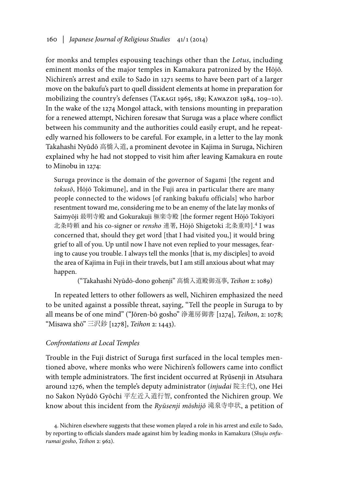for monks and temples espousing teachings other than the *Lotus*, including eminent monks of the major temples in Kamakura patronized by the Hōjō. Nichiren's arrest and exile to Sado in 1271 seems to have been part of a larger move on the bakufu's part to quell dissident elements at home in preparation for mobilizing the country's defenses (Takagi 1965, 189; Kawazoe 1984, 109–10). In the wake of the 1274 Mongol attack, with tensions mounting in preparation for a renewed attempt, Nichiren foresaw that Suruga was a place where conflict between his community and the authorities could easily erupt, and he repeatedly warned his followers to be careful. For example, in a letter to the lay monk Takahashi Nyūdō 高橋入道, a prominent devotee in Kajima in Suruga, Nichiren explained why he had not stopped to visit him after leaving Kamakura en route to Minobu in 1274:

Suruga province is the domain of the governor of Sagami [the regent and *tokusō*, Hōjō Tokimune], and in the Fuji area in particular there are many people connected to the widows [of ranking bakufu officials] who harbor resentment toward me, considering me to be an enemy of the late lay monks of Saimyōji 最明寺殿 and Gokurakuji 極楽寺殿 [the former regent Hōjō Tokiyori 北条時頼 and his co-signer or *rensho* 連署, Hōjō Shigetoki 北条重時].4 I was concerned that, should they get word [that I had visited you,] it would bring grief to all of you. Up until now I have not even replied to your messages, fearing to cause you trouble. I always tell the monks [that is, my disciples] to avoid the area of Kajima in Fuji in their travels, but I am still anxious about what may happen.

("Takahashi Nyūdō-dono gohenji" 高橋入道殿御返事, *Teihon* 2: 1089)

In repeated letters to other followers as well, Nichiren emphasized the need to be united against a possible threat, saying, "Tell the people in Suruga to by all means be of one mind" ("Jōren-bō gosho" 浄蓮房御書 [1274], *Teihon*, 2: 1078; "Misawa shō" 三沢鈔 [1278], *Teihon* 2: 1443).

# *Confrontations at Local Temples*

Trouble in the Fuji district of Suruga first surfaced in the local temples mentioned above, where monks who were Nichiren's followers came into conflict with temple administrators. The first incident occurred at Ryūsenji in Atsuhara around 1276, when the temple's deputy administrator (*injudai* 院主代), one Hei no Sakon Nyūdō Gyōchi 平左近入道行智, confronted the Nichiren group. We know about this incident from the *Ryūsenji mōshijō* 滝泉寺申状, a petition of

<sup>4.</sup> Nichiren elsewhere suggests that these women played a role in his arrest and exile to Sado, by reporting to officials slanders made against him by leading monks in Kamakura (*Shuju onfurumai gosho*, *Teihon* 2: 962).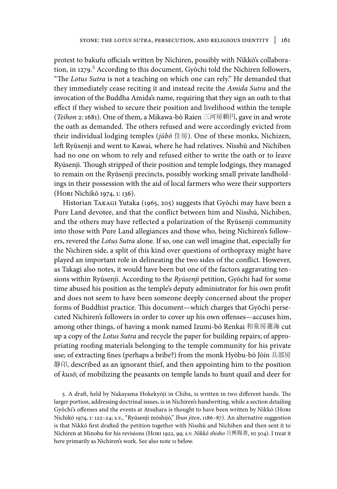protest to bakufu officials written by Nichiren, possibly with Nikkō's collaboration, in 1279.<sup>5</sup> According to this document, Gyōchi told the Nichiren followers, "The *Lotus Sutra* is not a teaching on which one can rely." He demanded that they immediately cease reciting it and instead recite the *Amida Sutra* and the invocation of the Buddha Amida's name, requiring that they sign an oath to that effect if they wished to secure their position and livelihood within the temple (*Teihon* 2: 1681). One of them, a Mikawa-bō Raien 三河房頼円, gave in and wrote the oath as demanded. The others refused and were accordingly evicted from their individual lodging temples (*jūbō* 住房). One of these monks, Nichizen, left Ryūsenji and went to Kawai, where he had relatives. Nisshū and Nichiben had no one on whom to rely and refused either to write the oath or to leave Ryūsenji. Though stripped of their position and temple lodgings, they managed to remain on the Ryūsenji precincts, possibly working small private landholdings in their possession with the aid of local farmers who were their supporters (Hori Nichikō 1974, 1: 136).

Historian Takagi Yutaka (1965, 205) suggests that Gyōchi may have been a Pure Land devotee, and that the conflict between him and Nisshū, Nichiben, and the others may have reflected a polarization of the Ryūsenji community into those with Pure Land allegiances and those who, being Nichiren's followers, revered the *Lotus Sutra* alone. If so, one can well imagine that, especially for the Nichiren side, a split of this kind over questions of orthopraxy might have played an important role in delineating the two sides of the conflict. However, as Takagi also notes, it would have been but one of the factors aggravating tensions within Ryūsenji. According to the *Ryūsenji* petition, Gyōchi had for some time abused his position as the temple's deputy administrator for his own profit and does not seem to have been someone deeply concerned about the proper forms of Buddhist practice. This document—which charges that Gyōchi persecuted Nichiren's followers in order to cover up his own offenses—accuses him, among other things, of having a monk named Izumi-bō Renkai 和泉房蓮海 cut up a copy of the *Lotus Sutra* and recycle the paper for building repairs; of appropriating roofing materials belonging to the temple community for his private use; of extracting fines (perhaps a bribe?) from the monk Hyōbu-bō Jōin 兵部房 静印, described as an ignorant thief, and then appointing him to the position of *kusō*; of mobilizing the peasants on temple lands to hunt quail and deer for

5. A draft, held by Nakayama Hokekyōji in Chiba, is written in two different hands. The larger portion, addressing doctrinal issues, is in Nichiren's handwriting, while a section detailing Gyōchi's offenses and the events at Atsuhara is thought to have been written by Nikkō (Hori Nichikō 1974, 1: 122–24; s.v., "Ryūsenji mōshijō," *Ibun jiten*, 1186–87). An alternative suggestion is that Nikkō first drafted the petition together with Nisshū and Nichiben and then sent it to Nichiren at Minobu for his revisions (Hori 1922, 99; s.v. *Nikkō shisho* 日興賜書, nj 304). I treat it here primarily as Nichiren's work. See also note 11 below.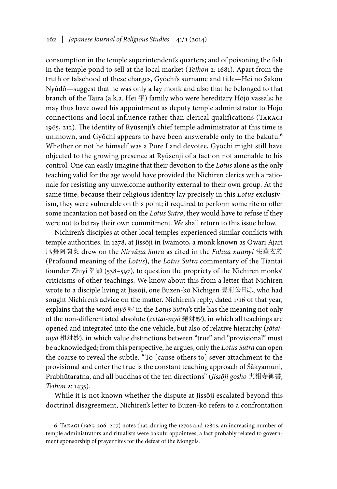consumption in the temple superintendent's quarters; and of poisoning the fish in the temple pond to sell at the local market (*Teihon* 2: 1681). Apart from the truth or falsehood of these charges, Gyōchi's surname and title—Hei no Sakon Nyūdō—suggest that he was only a lay monk and also that he belonged to that branch of the Taira (a.k.a. Hei  $\overline{\mathcal{F}}$ ) family who were hereditary Hōjō vassals; he may thus have owed his appointment as deputy temple administrator to Hōjō connections and local influence rather than clerical qualifications (Takagi 1965, 212). The identity of Ryūsenji's chief temple administrator at this time is unknown, and Gyōchi appears to have been answerable only to the bakufu.<sup>6</sup> Whether or not he himself was a Pure Land devotee, Gyōchi might still have objected to the growing presence at Ryūsenji of a faction not amenable to his control. One can easily imagine that their devotion to the *Lotus* alone as the only teaching valid for the age would have provided the Nichiren clerics with a rationale for resisting any unwelcome authority external to their own group. At the same time, because their religious identity lay precisely in this *Lotus* exclusivism, they were vulnerable on this point; if required to perform some rite or offer some incantation not based on the *Lotus Sutra*, they would have to refuse if they were not to betray their own commitment. We shall return to this issue below.

Nichiren's disciples at other local temples experienced similar conflicts with temple authorities. In 1278, at Jissōji in Iwamoto, a monk known as Owari Ajari 尾張阿闍梨 drew on the *Nirvāṇa Sutra* as cited in the *Fahua xuanyi* 法華玄義 (Profound meaning of the *Lotus*), the *Lotus Sutra* commentary of the Tiantai founder Zhiyi 智顗 (538–597), to question the propriety of the Nichiren monks' criticisms of other teachings. We know about this from a letter that Nichiren wrote to a disciple living at Jissōji, one Buzen-kō Nichigen 豊前公日源, who had sought Nichiren's advice on the matter. Nichiren's reply, dated 1/16 of that year, explains that the word *myō* 妙 in the *Lotus Sutra*'s title has the meaning not only of the non-differentiated absolute (*zettai-myō* 絶対妙), in which all teachings are opened and integrated into the one vehicle, but also of relative hierarchy (*sōtaimyō* 相対妙), in which value distinctions between "true" and "provisional" must be acknowledged; from this perspective, he argues, only the *Lotus Sutra* can open the coarse to reveal the subtle. "To [cause others to] sever attachment to the provisional and enter the true is the constant teaching approach of Śākyamuni, Prabhūtaratna, and all buddhas of the ten directions" (*Jissōji gosho* 実相寺御書, *Teihon* 2: 1435).

While it is not known whether the dispute at Jissōji escalated beyond this doctrinal disagreement, Nichiren's letter to Buzen-kō refers to a confrontation

6. Takagi (1965, 206–207) notes that, during the 1270s and 1280s, an increasing number of temple administrators and ritualists were bakufu appointees, a fact probably related to government sponsorship of prayer rites for the defeat of the Mongols.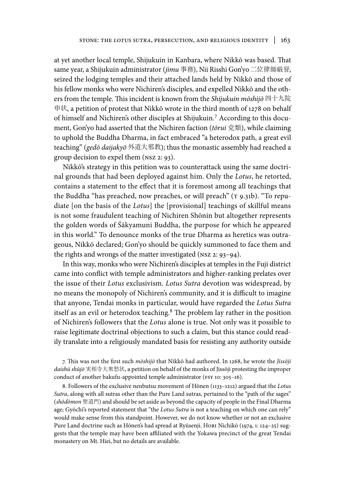at yet another local temple, Shijukuin in Kanbara, where Nikkō was based. That same year, a Shijukuin administrator (*jimu* 事務), Nii Risshi Gon'yo 二位律師厳誉, seized the lodging temples and their attached lands held by Nikkō and those of his fellow monks who were Nichiren's disciples, and expelled Nikkō and the others from the temple. This incident is known from the *Shijukuin mōshijō* 四十九院 申状, a petition of protest that Nikkō wrote in the third month of 1278 on behalf of himself and Nichiren's other disciples at Shijukuin.7 According to this document, Gon'yo had asserted that the Nichiren faction (*tōrui* 党類), while claiming to uphold the Buddha Dharma, in fact embraced "a heterodox path, a great evil teaching" (*gedō daijakyō* 外道大邪教); thus the monastic assembly had reached a group decision to expel them (nsz 2: 93).

Nikkō's strategy in this petition was to counterattack using the same doctrinal grounds that had been deployed against him. Only the *Lotus*, he retorted, contains a statement to the effect that it is foremost among all teachings that the Buddha "has preached, now preaches, or will preach" (T 9.31b). "To repudiate [on the basis of the *Lotus*] the [provisional] teachings of skillful means is not some fraudulent teaching of Nichiren Shōnin but altogether represents the golden words of Śākyamuni Buddha, the purpose for which he appeared in this world." To denounce monks of the true Dharma as heretics was outrageous, Nikkō declared; Gon'yo should be quickly summoned to face them and the rights and wrongs of the matter investigated (nsz 2: 93–94).

In this way, monks who were Nichiren's disciples at temples in the Fuji district came into conflict with temple administrators and higher-ranking prelates over the issue of their *Lotus* exclusivism. *Lotus Sutra* devotion was widespread, by no means the monopoly of Nichiren's community, and it is difficult to imagine that anyone, Tendai monks in particular, would have regarded the *Lotus Sutra* itself as an evil or heterodox teaching.<sup>8</sup> The problem lay rather in the position of Nichiren's followers that the *Lotus* alone is true. Not only was it possible to raise legitimate doctrinal objections to such a claim, but this stance could readily translate into a religiously mandated basis for resisting any authority outside

7. This was not the first such *mōshijō* that Nikkō had authored. In 1268, he wrote the *Jissōji daishū shūjō* 実相寺大衆愁状, a petition on behalf of the monks of Jissōji protesting the improper conduct of another bakufu-appointed temple administrator (FSY 10: 305-16).

8. Followers of the exclusive nenbutsu movement of Hōnen (1133–1212) argued that the *Lotus Sutra*, along with all sutras other than the Pure Land sutras, pertained to the "path of the sages" (*shōdōmon* 聖道門) and should be set aside as beyond the capacity of people in the Final Dharma age; Gyōchi's reported statement that "the *Lotus Sutra* is not a teaching on which one can rely" would make sense from this standpoint. However, we do not know whether or not an exclusive Pure Land doctrine such as Hōnen's had spread at Ryūsenji. Hori Nichikō (1974, 1: 124-25) suggests that the temple may have been affiliated with the Yokawa precinct of the great Tendai monastery on Mt. Hiei, but no details are available.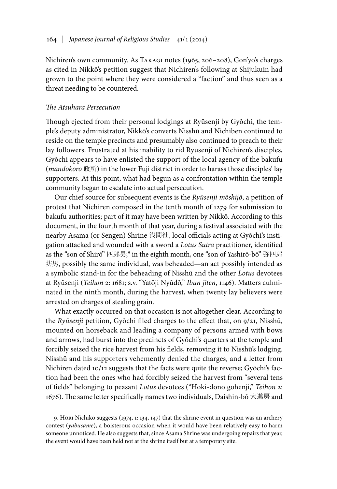Nichiren's own community. As Takagi notes (1965, 206–208), Gon'yo's charges as cited in Nikkō's petition suggest that Nichiren's following at Shijukuin had grown to the point where they were considered a "faction" and thus seen as a threat needing to be countered.

# *The Atsuhara Persecution*

Though ejected from their personal lodgings at Ryūsenji by Gyōchi, the temple's deputy administrator, Nikkō's converts Nisshū and Nichiben continued to reside on the temple precincts and presumably also continued to preach to their lay followers. Frustrated at his inability to rid Ryūsenji of Nichiren's disciples, Gyōchi appears to have enlisted the support of the local agency of the bakufu (*mandokoro* 政所) in the lower Fuji district in order to harass those disciples' lay supporters. At this point, what had begun as a confrontation within the temple community began to escalate into actual persecution.

Our chief source for subsequent events is the *Ryūsenji mōshijō*, a petition of protest that Nichiren composed in the tenth month of 1279 for submission to bakufu authorities; part of it may have been written by Nikkō. According to this document, in the fourth month of that year, during a festival associated with the nearby Asama (or Sengen) Shrine 浅間社, local officials acting at Gyōchi's instigation attacked and wounded with a sword a *Lotus Sutra* practitioner, identified as the "son of Shirō" 四郎男; 9 in the eighth month, one "son of Yashirō-bō" 弥四郎 坊男, possibly the same individual, was beheaded—an act possibly intended as a symbolic stand-in for the beheading of Nisshū and the other *Lotus* devotees at Ryūsenji (*Teihon* 2: 1681; s.v. "Yatōji Nyūdō," *Ibun jiten*, 1146). Matters culminated in the ninth month, during the harvest, when twenty lay believers were arrested on charges of stealing grain.

What exactly occurred on that occasion is not altogether clear. According to the *Ryūsenji* petition, Gyōchi filed charges to the effect that, on 9/21, Nisshū, mounted on horseback and leading a company of persons armed with bows and arrows, had burst into the precincts of Gyōchi's quarters at the temple and forcibly seized the rice harvest from his fields, removing it to Nisshū's lodging. Nisshū and his supporters vehemently denied the charges, and a letter from Nichiren dated 10/12 suggests that the facts were quite the reverse; Gyōchi's faction had been the ones who had forcibly seized the harvest from "several tens of fields" belonging to peasant *Lotus* devotees ("Hōki-dono gohenji," *Teihon* 2: 1676). The same letter specifically names two individuals, Daishin-bō 大進房 and

9. Hori Nichikō suggests (1974, 1: 134, 147) that the shrine event in question was an archery contest (*yabusame*), a boisterous occasion when it would have been relatively easy to harm someone unnoticed. He also suggests that, since Asama Shrine was undergoing repairs that year, the event would have been held not at the shrine itself but at a temporary site.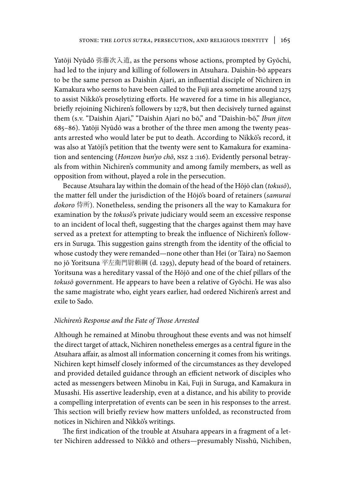Yatōji Nyūdō 弥藤次入道, as the persons whose actions, prompted by Gyōchi, had led to the injury and killing of followers in Atsuhara. Daishin-bō appears to be the same person as Daishin Ajari, an influential disciple of Nichiren in Kamakura who seems to have been called to the Fuji area sometime around 1275 to assist Nikkō's proselytizing efforts. He wavered for a time in his allegiance, briefly rejoining Nichiren's followers by 1278, but then decisively turned against them (s.v. "Daishin Ajari," "Daishin Ajari no bō," and "Daishin-bō," *Ibun jiten* 685–86). Yatōji Nyūdō was a brother of the three men among the twenty peasants arrested who would later be put to death. According to Nikkō's record, it was also at Yatōji's petition that the twenty were sent to Kamakura for examination and sentencing (*Honzon bun'yo chō*, nsz 2 :116). Evidently personal betrayals from within Nichiren's community and among family members, as well as opposition from without, played a role in the persecution.

Because Atsuhara lay within the domain of the head of the Hōjō clan (*tokusō*), the matter fell under the jurisdiction of the Hōjō's board of retainers (*samurai dokoro* 侍所). Nonetheless, sending the prisoners all the way to Kamakura for examination by the *tokusō*'s private judiciary would seem an excessive response to an incident of local theft, suggesting that the charges against them may have served as a pretext for attempting to break the influence of Nichiren's followers in Suruga. This suggestion gains strength from the identity of the official to whose custody they were remanded—none other than Hei (or Taira) no Saemon no jō Yoritsuna 平左衛門尉頼綱 (d. 1293), deputy head of the board of retainers. Yoritsuna was a hereditary vassal of the Hōjō and one of the chief pillars of the *tokusō* government. He appears to have been a relative of Gyōchi. He was also the same magistrate who, eight years earlier, had ordered Nichiren's arrest and exile to Sado.

## *Nichiren's Response and the Fate of Those Arrested*

Although he remained at Minobu throughout these events and was not himself the direct target of attack, Nichiren nonetheless emerges as a central figure in the Atsuhara affair, as almost all information concerning it comes from his writings. Nichiren kept himself closely informed of the circumstances as they developed and provided detailed guidance through an efficient network of disciples who acted as messengers between Minobu in Kai, Fuji in Suruga, and Kamakura in Musashi. His assertive leadership, even at a distance, and his ability to provide a compelling interpretation of events can be seen in his responses to the arrest. This section will briefly review how matters unfolded, as reconstructed from notices in Nichiren and Nikkō's writings.

The first indication of the trouble at Atsuhara appears in a fragment of a letter Nichiren addressed to Nikkō and others—presumably Nisshū, Nichiben,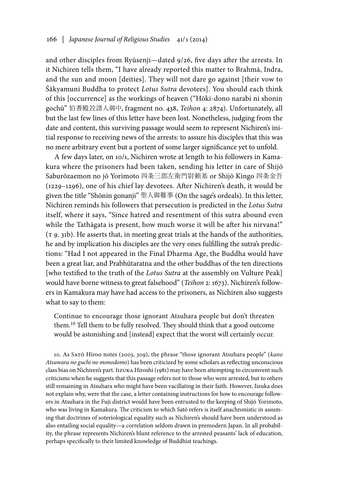and other disciples from Ryūsenji—dated 9/26, five days after the arrests. In it Nichiren tells them, "I have already reported this matter to Brahmā, Indra, and the sun and moon [deities]. They will not dare go against [their vow to Śākyamuni Buddha to protect *Lotus Sutra* devotees]. You should each think of this [occurrence] as the workings of heaven ("Hōki-dono narabi ni shonin gochū" 伯耆殿竝諸人御中, fragment no. 438, *Teihon* 4: 2874). Unfortunately, all but the last few lines of this letter have been lost. Nonetheless, judging from the date and content, this surviving passage would seem to represent Nichiren's initial response to receiving news of the arrests: to assure his disciples that this was no mere arbitrary event but a portent of some larger significance yet to unfold.

A few days later, on 10/1, Nichiren wrote at length to his followers in Kamakura where the prisoners had been taken, sending his letter in care of Shijō Saburōzaemon no jō Yorimoto 四条三郎左衛門尉頼基 or Shijō Kingo 四条金吾 (1229–1296), one of his chief lay devotees. After Nichiren's death, it would be given the title "Shōnin gonanji" 聖人御難事 (On the sage's ordeals). In this letter, Nichiren reminds his followers that persecution is predicted in the *Lotus Sutra* itself, where it says, "Since hatred and resentment of this sutra abound even while the Tathāgata is present, how much worse it will be after his nirvana!" (t 9. 31b). He asserts that, in meeting great trials at the hands of the authorities, he and by implication his disciples are the very ones fulfilling the sutra's predictions: "Had I not appeared in the Final Dharma Age, the Buddha would have been a great liar, and Prabhūtaratna and the other buddhas of the ten directions [who testified to the truth of the *Lotus Sutra* at the assembly on Vulture Peak] would have borne witness to great falsehood" (*Teihon* 2: 1673). Nichiren's followers in Kamakura may have had access to the prisoners, as Nichiren also suggests what to say to them:

Continue to encourage those ignorant Atsuhara people but don't threaten them. 10 Tell them to be fully resolved. They should think that a good outcome would be astonishing and [instead] expect that the worst will certainly occur.

10. As Satō Hiroo notes (2003, 309), the phrase "those ignorant Atsuhara people" (*kano Atsuwara no guchi no monodomo*) has been criticized by some scholars as reflecting unconscious class bias on Nichiren's part. Iizuka Hiroshi (1981) may have been attempting to circumvent such criticisms when he suggests that this passage refers not to those who were arrested, but to others still remaining in Atsuhara who might have been vacillating in their faith. However, Iizuka does not explain why, were that the case, a letter containing instructions for how to encourage followers in Atsuhara in the Fuji district would have been entrusted to the keeping of Shijō Yorimoto, who was living in Kamakura. The criticism to which Satō refers is itself anachronistic in assuming that doctrines of soteriological equality such as Nichiren's should have been understood as also entailing social equality—a correlation seldom drawn in premodern Japan. In all probability, the phrase represents Nichiren's blunt reference to the arrested peasants' lack of education, perhaps specifically to their limited knowledge of Buddhist teachings.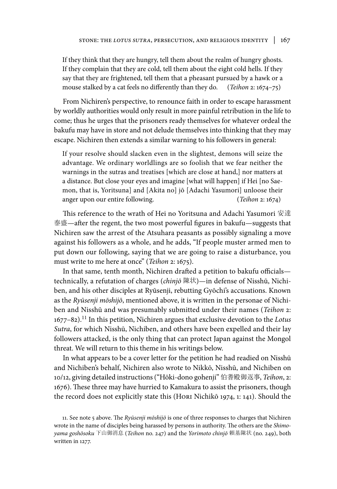If they think that they are hungry, tell them about the realm of hungry ghosts. If they complain that they are cold, tell them about the eight cold hells. If they say that they are frightened, tell them that a pheasant pursued by a hawk or a mouse stalked by a cat feels no differently than they do. (*Teihon* 2: 1674–75)

From Nichiren's perspective, to renounce faith in order to escape harassment by worldly authorities would only result in more painful retribution in the life to come; thus he urges that the prisoners ready themselves for whatever ordeal the bakufu may have in store and not delude themselves into thinking that they may escape. Nichiren then extends a similar warning to his followers in general:

If your resolve should slacken even in the slightest, demons will seize the advantage. We ordinary worldlings are so foolish that we fear neither the warnings in the sutras and treatises [which are close at hand,] nor matters at a distance. But close your eyes and imagine [what will happen] if Hei [no Saemon, that is, Yoritsuna] and [Akita no] jō [Adachi Yasumori] unloose their anger upon our entire following. (*Teihon* 2: 1674)

This reference to the wrath of Hei no Yoritsuna and Adachi Yasumori 安達 泰盛—after the regent, the two most powerful figures in bakufu—suggests that Nichiren saw the arrest of the Atsuhara peasants as possibly signaling a move against his followers as a whole, and he adds, "If people muster armed men to put down our following, saying that we are going to raise a disturbance, you must write to me here at once" (*Teihon* 2: 1675).

In that same, tenth month, Nichiren drafted a petition to bakufu officials technically, a refutation of charges (*chinjō* 陳状)—in defense of Nisshū, Nichiben, and his other disciples at Ryūsenji, rebutting Gyōchi's accusations. Known as the *Ryūsenji mōshijō*, mentioned above, it is written in the personae of Nichiben and Nisshū and was presumably submitted under their names (*Teihon* 2: 1677–82).11 In this petition, Nichiren argues that exclusive devotion to the *Lotus Sutra*, for which Nisshū, Nichiben, and others have been expelled and their lay followers attacked, is the only thing that can protect Japan against the Mongol threat. We will return to this theme in his writings below.

In what appears to be a cover letter for the petition he had readied on Nisshū and Nichiben's behalf, Nichiren also wrote to Nikkō, Nisshū, and Nichiben on 10/12, giving detailed instructions ("Hōki-dono gohenji" 伯耆殿御返事, *Teihon*, 2: 1676). These three may have hurried to Kamakura to assist the prisoners, though the record does not explicitly state this (Hori Nichikō 1974, 1: 141). Should the

<sup>11.</sup> See note 5 above. The *Ryūsenji mōshijō* is one of three responses to charges that Nichiren wrote in the name of disciples being harassed by persons in authority. The others are the *Shimoyama goshōsoku* 下山御消息 (*Teihon* no. 247) and the *Yorimoto chinjō* 頼基陳状 (no. 249), both written in 1277.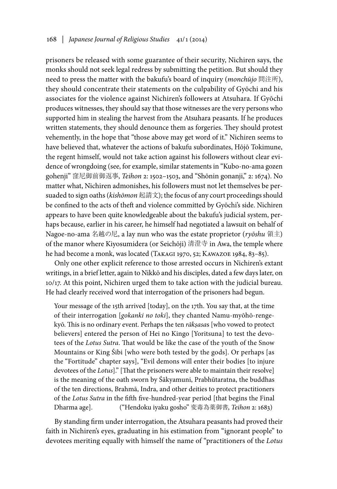prisoners be released with some guarantee of their security, Nichiren says, the monks should not seek legal redress by submitting the petition. But should they need to press the matter with the bakufu's board of inquiry (*monchūjo* 問注所), they should concentrate their statements on the culpability of Gyōchi and his associates for the violence against Nichiren's followers at Atsuhara. If Gyōchi produces witnesses, they should say that those witnesses are the very persons who supported him in stealing the harvest from the Atsuhara peasants. If he produces written statements, they should denounce them as forgeries. They should protest vehemently, in the hope that "those above may get word of it." Nichiren seems to have believed that, whatever the actions of bakufu subordinates, Hōjō Tokimune, the regent himself, would not take action against his followers without clear evidence of wrongdoing (see, for example, similar statements in "Kubo-no-ama gozen gohenji" 窪尼御前御返事, *Teihon* 2: 1502–1503, and "Shōnin gonanji," 2: 1674). No matter what, Nichiren admonishes, his followers must not let themselves be persuaded to sign oaths (*kishōmon* 起請文); the focus of any court proceedings should be confined to the acts of theft and violence committed by Gyōchi's side. Nichiren appears to have been quite knowledgeable about the bakufu's judicial system, perhaps because, earlier in his career, he himself had negotiated a lawsuit on behalf of Nagoe-no-ama 名越の尼, a lay nun who was the estate proprietor (*ryōshu* 領主) of the manor where Kiyosumidera (or Seichōji) 清澄寺 in Awa, the temple where he had become a monk, was located (Takagi 1970, 52; Kawazoe 1984, 83–85).

Only one other explicit reference to those arrested occurs in Nichiren's extant writings, in a brief letter, again to Nikkō and his disciples, dated a few days later, on 10/17. At this point, Nichiren urged them to take action with the judicial bureau. He had clearly received word that interrogation of the prisoners had begun.

Your message of the 15th arrived [today], on the 17th. You say that, at the time of their interrogation [*gokanki no toki*], they chanted Namu-myōhō-rengekyō. This is no ordinary event. Perhaps the ten *rākṣasa*s [who vowed to protect believers] entered the person of Hei no Kingo [Yoritsuna] to test the devotees of the *Lotus Sutra*. That would be like the case of the youth of the Snow Mountains or King Śibi [who were both tested by the gods]. Or perhaps [as the "Fortitude" chapter says], "Evil demons will enter their bodies [to injure devotees of the *Lotus*]." [That the prisoners were able to maintain their resolve] is the meaning of the oath sworn by Śākyamuni, Prabhūtaratna, the buddhas of the ten directions, Brahmā, Indra, and other deities to protect practitioners of the *Lotus Sutra* in the fifth five-hundred-year period [that begins the Final Dharma age]. ("Hendoku iyaku gosho" 変毒為薬御書, *Teihon* 2: 1683)

By standing firm under interrogation, the Atsuhara peasants had proved their faith in Nichiren's eyes, graduating in his estimation from "ignorant people" to devotees meriting equally with himself the name of "practitioners of the *Lotus*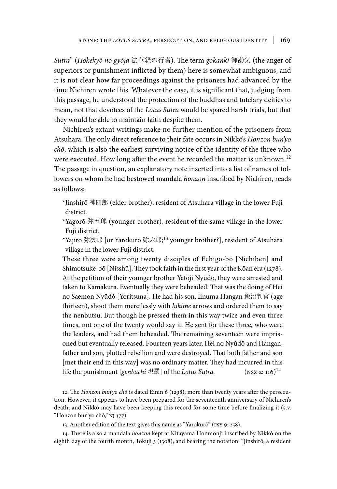*Sutra*" (*Hokekyō no gyōja* 法華経の行者). The term *gokanki* 御勘気 (the anger of superiors or punishment inflicted by them) here is somewhat ambiguous, and it is not clear how far proceedings against the prisoners had advanced by the time Nichiren wrote this. Whatever the case, it is significant that, judging from this passage, he understood the protection of the buddhas and tutelary deities to mean, not that devotees of the *Lotus Sutra* would be spared harsh trials, but that they would be able to maintain faith despite them.

Nichiren's extant writings make no further mention of the prisoners from Atsuhara. The only direct reference to their fate occurs in Nikkō's *Honzon bun'yo chō*, which is also the earliest surviving notice of the identity of the three who were executed. How long after the event he recorded the matter is unknown.<sup>12</sup> The passage in question, an explanatory note inserted into a list of names of followers on whom he had bestowed mandala *honzon* inscribed by Nichiren, reads as follows:

- \*Jinshirō 神四郎 (elder brother), resident of Atsuhara village in the lower Fuji district.
- \*Yagorō 弥五郎 (younger brother), resident of the same village in the lower Fuji district.
- \*Yajirō 弥次郎 [or Yarokurō 弥六郎; 13 younger brother?], resident of Atsuhara village in the lower Fuji district.

These three were among twenty disciples of Echigo-bō [Nichiben] and Shimotsuke-bō [Nisshū]. They took faith in the first year of the Kōan era (1278). At the petition of their younger brother Yatōji Nyūdō, they were arrested and taken to Kamakura. Eventually they were beheaded. That was the doing of Hei no Saemon Nyūdō [Yoritsuna]. He had his son, Iinuma Hangan 飯沼判官 (age thirteen), shoot them mercilessly with *hikime* arrows and ordered them to say the nenbutsu. But though he pressed them in this way twice and even three times, not one of the twenty would say it. He sent for these three, who were the leaders, and had them beheaded. The remaining seventeen were imprisoned but eventually released. Fourteen years later, Hei no Nyūdō and Hangan, father and son, plotted rebellion and were destroyed. That both father and son [met their end in this way] was no ordinary matter. They had incurred in this life the punishment [*genbachi* 現罰] of the *Lotus Sutra*. (NSZ 2: 116)<sup>14</sup>

12. The *Honzon bun'yo chō* is dated Einin 6 (1298), more than twenty years after the persecution. However, it appears to have been prepared for the seventeenth anniversary of Nichiren's death, and Nikkō may have been keeping this record for some time before finalizing it (s.v. "Honzon bun'yo chō," nj 377).

13. Another edition of the text gives this name as "Yarokurō" (fsy 9: 258).

14. There is also a mandala *honzon* kept at Kitayama Honmonji inscribed by Nikkō on the eighth day of the fourth month, Tokuji 3 (1308), and bearing the notation: "Jinshirō, a resident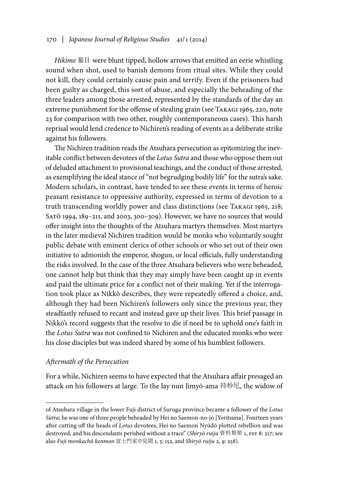# 170 *| Japanese Journal of Religious Studies* 41/1 (2014)

*Hikime* 蟇目 were blunt tipped, hollow arrows that emitted an eerie whistling sound when shot, used to banish demons from ritual sites. While they could not kill, they could certainly cause pain and terrify. Even if the prisoners had been guilty as charged, this sort of abuse, and especially the beheading of the three leaders among those arrested, represented by the standards of the day an extreme punishment for the offense of stealing grain (see TAKAGI 1965, 220, note 23 for comparison with two other, roughly contemporaneous cases). This harsh reprisal would lend credence to Nichiren's reading of events as a deliberate strike against his followers.

The Nichiren tradition reads the Atsuhara persecution as epitomizing the inevitable conflict between devotees of the *Lotus Sutra* and those who oppose them out of deluded attachment to provisional teachings, and the conduct of those arrested, as exemplifying the ideal stance of "not begrudging bodily life" for the sutra's sake. Modern scholars, in contrast, have tended to see these events in terms of heroic peasant resistance to oppressive authority, expressed in terms of devotion to a truth transcending worldly power and class distinctions (see Takagi 1965, 218; Satō 1994, 189–211, and 2003, 300–309). However, we have no sources that would offer insight into the thoughts of the Atsuhara martyrs themselves. Most martyrs in the later medieval Nichiren tradition would be monks who voluntarily sought public debate with eminent clerics of other schools or who set out of their own initiative to admonish the emperor, shogun, or local officials, fully understanding the risks involved. In the case of the three Atsuhara believers who were beheaded, one cannot help but think that they may simply have been caught up in events and paid the ultimate price for a conflict not of their making. Yet if the interrogation took place as Nikkō describes, they were repeatedly offered a choice, and, although they had been Nichiren's followers only since the previous year, they steadfastly refused to recant and instead gave up their lives. This brief passage in Nikkō's record suggests that the resolve to die if need be to uphold one's faith in the *Lotus Sutra* was not confined to Nichiren and the educated monks who were his close disciples but was indeed shared by some of his humblest followers.

### *Aftermath of the Persecution*

For a while, Nichiren seems to have expected that the Atsuhara affair presaged an attack on his followers at large. To the lay nun Jimyō-ama 持妙尼, the widow of

of Atsuhara village in the lower Fuji district of Suruga province became a follower of the *Lotus Sūtra*; he was one of three people beheaded by Hei no Saemon-no-jō [Yoritsuna]. Fourteen years after cutting off the heads of *Lotus* devotees, Hei no Saemon Nyūdō plotted rebellion and was destroyed, and his descendants perished without a trace" (*Shiryō ruiju* 資料類聚 1, fsy 8: 217; see also *Fuji monkachū kenmon* 富士門家中見聞 1, 5: 152, and *Shiryō ruiju* 2, 9: 258).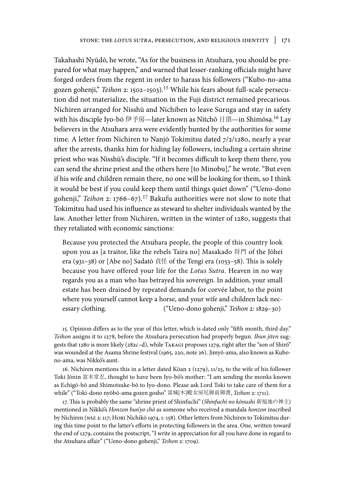Takahashi Nyūdō, he wrote, "As for the business in Atsuhara, you should be prepared for what may happen," and warned that lesser-ranking officials might have forged orders from the regent in order to harass his followers ("Kubo-no-ama gozen gohenji," *Teihon* 2: 1502–1503).15 While his fears about full-scale persecution did not materialize, the situation in the Fuji district remained precarious. Nichiren arranged for Nisshū and Nichiben to leave Suruga and stay in safety with his disciple Iyo-bō 伊予房—later known as Nitchō 日頂—in Shimōsa.16 Lay believers in the Atsuhara area were evidently hunted by the authorities for some time. A letter from Nichiren to Nanjō Tokimitsu dated 7/2/1280, nearly a year after the arrests, thanks him for hiding lay followers, including a certain shrine priest who was Nisshū's disciple. "If it becomes difficult to keep them there, you can send the shrine priest and the others here [to Minobu]," he wrote. "But even if his wife and children remain there, no one will be looking for them, so I think it would be best if you could keep them until things quiet down" ("Ueno-dono gohenji," *Teihon* 2: 1766–67).17 Bakufu authorities were not slow to note that Tokimitsu had used his influence as steward to shelter individuals wanted by the law. Another letter from Nichiren, written in the winter of 1280, suggests that they retaliated with economic sanctions:

Because you protected the Atsuhara people, the people of this country look upon you as [a traitor, like the rebels Taira no] Masakado 将門 of the Jōhei era (931–38) or [Abe no] Sadatō 貞任 of the Tengi era (1053–58). This is solely because you have offered your life for the *Lotus Sutra*. Heaven in no way regards you as a man who has betrayed his sovereign. In addition, your small estate has been drained by repeated demands for corvée labor, to the point where you yourself cannot keep a horse, and your wife and children lack necessary clothing. ("Ueno-dono gohenji," *Teihon* 2: 1829–30)

15. Opinion differs as to the year of this letter, which is dated only "fifth month, third day." *Teihon* assigns it to 1278, before the Atsuhara persecution had properly begun. *Ibun jiten* suggests that 1280 is more likely (282c–d), while Takagi proposes 1279, right after the "son of Shirō" was wounded at the Asama Shrine festival (1965, 220, note 26). Jimyō-ama, also known as Kubono-ama, was Nikkō's aunt.

16. Nichiren mentions this in a letter dated Kōan 2 (1279), 11/25, to the wife of his follower Toki Jōnin 富木常忍, thought to have been Iyo-bō's mother: "I am sending the monks known as Echigō-bō and Shimotsuke-bō to Iyo-dono. Please ask Lord Toki to take care of them for a while" ("Toki-dono nyōbō-ama gozen gosho" 富城[木]殿女房尼御前御書, *Teihon* 2: 1711).

17. This is probably the same "shrine priest of Shinfuchi" (*Shinfuchi no kōnushi* 新福地の神主) mentioned in Nikkō's *Honzon bun'yo chō* as someone who received a mandala *honzon* inscribed by Nichiren (NSZ 2: 117; HORI Nichikō 1974, 1: 158). Other letters from Nichiren to Tokimitsu during this time point to the latter's efforts in protecting followers in the area. One, written toward the end of 1279, contains the postscript, "I write in appreciation for all you have done in regard to the Atsuhara affair" ("Ueno-dono gohenji," *Teihon* 2: 1709).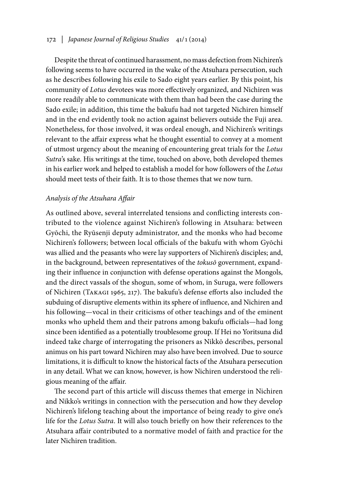# 172 *| Japanese Journal of Religious Studies* 41/1 (2014)

Despite the threat of continued harassment, no mass defection from Nichiren's following seems to have occurred in the wake of the Atsuhara persecution, such as he describes following his exile to Sado eight years earlier. By this point, his community of *Lotus* devotees was more effectively organized, and Nichiren was more readily able to communicate with them than had been the case during the Sado exile; in addition, this time the bakufu had not targeted Nichiren himself and in the end evidently took no action against believers outside the Fuji area. Nonetheless, for those involved, it was ordeal enough, and Nichiren's writings relevant to the affair express what he thought essential to convey at a moment of utmost urgency about the meaning of encountering great trials for the *Lotus Sutra*'s sake. His writings at the time, touched on above, both developed themes in his earlier work and helped to establish a model for how followers of the *Lotus* should meet tests of their faith. It is to those themes that we now turn.

# *Analysis of the Atsuhara Affair*

As outlined above, several interrelated tensions and conflicting interests contributed to the violence against Nichiren's following in Atsuhara: between Gyōchi, the Ryūsenji deputy administrator, and the monks who had become Nichiren's followers; between local officials of the bakufu with whom Gyōchi was allied and the peasants who were lay supporters of Nichiren's disciples; and, in the background, between representatives of the *tokusō* government, expanding their influence in conjunction with defense operations against the Mongols, and the direct vassals of the shogun, some of whom, in Suruga, were followers of Nichiren (Takagi 1965, 217). The bakufu's defense efforts also included the subduing of disruptive elements within its sphere of influence, and Nichiren and his following—vocal in their criticisms of other teachings and of the eminent monks who upheld them and their patrons among bakufu officials—had long since been identified as a potentially troublesome group. If Hei no Yoritsuna did indeed take charge of interrogating the prisoners as Nikkō describes, personal animus on his part toward Nichiren may also have been involved. Due to source limitations, it is difficult to know the historical facts of the Atsuhara persecution in any detail. What we can know, however, is how Nichiren understood the religious meaning of the affair.

The second part of this article will discuss themes that emerge in Nichiren and Nikko's writings in connection with the persecution and how they develop Nichiren's lifelong teaching about the importance of being ready to give one's life for the *Lotus Sutra*. It will also touch briefly on how their references to the Atsuhara affair contributed to a normative model of faith and practice for the later Nichiren tradition.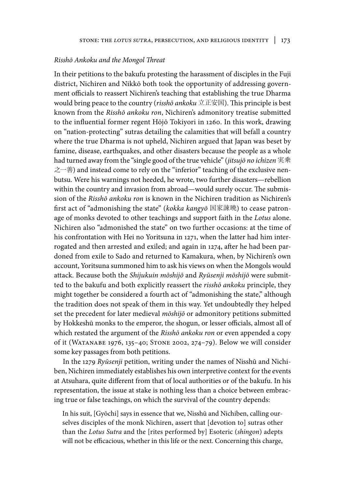#### *Risshō Ankoku and the Mongol Threat*

In their petitions to the bakufu protesting the harassment of disciples in the Fuji district, Nichiren and Nikkō both took the opportunity of addressing government officials to reassert Nichiren's teaching that establishing the true Dharma would bring peace to the country (*risshō ankoku* 立正安国). This principle is best known from the *Risshō ankoku ron*, Nichiren's admonitory treatise submitted to the influential former regent Hōjō Tokiyori in 1260. In this work, drawing on "nation-protecting" sutras detailing the calamities that will befall a country where the true Dharma is not upheld, Nichiren argued that Japan was beset by famine, disease, earthquakes, and other disasters because the people as a whole had turned away from the "single good of the true vehicle" (*jitsujō no ichizen* 実乗 之一善) and instead come to rely on the "inferior" teaching of the exclusive nenbutsu. Were his warnings not heeded, he wrote, two further disasters—rebellion within the country and invasion from abroad—would surely occur. The submission of the *Risshō ankoku ron* is known in the Nichiren tradition as Nichiren's first act of "admonishing the state" (*kokka kangyō* 国家諌暁) to cease patronage of monks devoted to other teachings and support faith in the *Lotus* alone. Nichiren also "admonished the state" on two further occasions: at the time of his confrontation with Hei no Yoritsuna in 1271, when the latter had him interrogated and then arrested and exiled; and again in 1274, after he had been pardoned from exile to Sado and returned to Kamakura, when, by Nichiren's own account, Yoritsuna summoned him to ask his views on when the Mongols would attack. Because both the *Shijukuin mōshijō* and *Ryūsenji mōshijō* were submitted to the bakufu and both explicitly reassert the *risshō ankoku* principle, they might together be considered a fourth act of "admonishing the state," although the tradition does not speak of them in this way. Yet undoubtedly they helped set the precedent for later medieval *mōshijō* or admonitory petitions submitted by Hokkeshū monks to the emperor, the shogun, or lesser officials, almost all of which restated the argument of the *Risshō ankoku ron* or even appended a copy of it (Watanabe 1976, 135–40; Stone 2002, 274–79). Below we will consider some key passages from both petitions.

In the 1279 *Ryūsenji* petition, writing under the names of Nisshū and Nichiben, Nichiren immediately establishes his own interpretive context for the events at Atsuhara, quite different from that of local authorities or of the bakufu. In his representation, the issue at stake is nothing less than a choice between embracing true or false teachings, on which the survival of the country depends:

In his suit, [Gyōchi] says in essence that we, Nisshū and Nichiben, calling ourselves disciples of the monk Nichiren, assert that [devotion to] sutras other than the *Lotus Sutra* and the [rites performed by] Esoteric (*shingon*) adepts will not be efficacious, whether in this life or the next. Concerning this charge,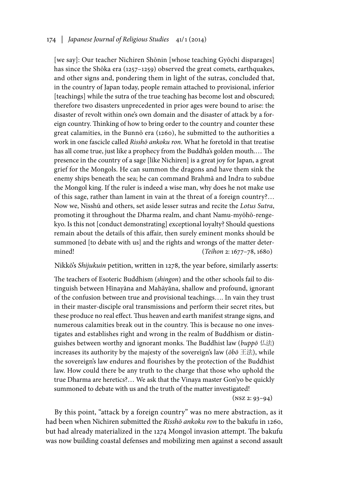# 174 *| Japanese Journal of Religious Studies* 41/1 (2014)

[we say]: Our teacher Nichiren Shōnin [whose teaching Gyōchi disparages] has since the Shōka era (1257–1259) observed the great comets, earthquakes, and other signs and, pondering them in light of the sutras, concluded that, in the country of Japan today, people remain attached to provisional, inferior [teachings] while the sutra of the true teaching has become lost and obscured; therefore two disasters unprecedented in prior ages were bound to arise: the disaster of revolt within one's own domain and the disaster of attack by a foreign country. Thinking of how to bring order to the country and counter these great calamities, in the Bunnō era (1260), he submitted to the authorities a work in one fascicle called *Risshō ankoku ron*. What he foretold in that treatise has all come true, just like a prophecy from the Buddha's golden mouth.… The presence in the country of a sage [like Nichiren] is a great joy for Japan, a great grief for the Mongols. He can summon the dragons and have them sink the enemy ships beneath the sea; he can command Brahmā and Indra to subdue the Mongol king. If the ruler is indeed a wise man, why does he not make use of this sage, rather than lament in vain at the threat of a foreign country?… Now we, Nisshū and others, set aside lesser sutras and recite the *Lotus Sutra*, promoting it throughout the Dharma realm, and chant Namu-myōhō-rengekyo. Is this not [conduct demonstrating] exceptional loyalty? Should questions remain about the details of this affair, then surely eminent monks should be summoned [to debate with us] and the rights and wrongs of the matter determined! (*Teihon* 2: 1677–78, 1680)

# Nikkō's *Shijukuin* petition, written in 1278, the year before, similarly asserts:

The teachers of Esoteric Buddhism (*shingon*) and the other schools fail to distinguish between Hīnayāna and Mahāyāna, shallow and profound, ignorant of the confusion between true and provisional teachings…. In vain they trust in their master-disciple oral transmissions and perform their secret rites, but these produce no real effect. Thus heaven and earth manifest strange signs, and numerous calamities break out in the country. This is because no one investigates and establishes right and wrong in the realm of Buddhism or distinguishes between worthy and ignorant monks. The Buddhist law (*buppō* 仏法) increases its authority by the majesty of the sovereign's law (*ōbō* 王法), while the sovereign's law endures and flourishes by the protection of the Buddhist law. How could there be any truth to the charge that those who uphold the true Dharma are heretics?… We ask that the Vinaya master Gon'yo be quickly summoned to debate with us and the truth of the matter investigated!

 $(NSZ 2: 93-94)$ 

By this point, "attack by a foreign country" was no mere abstraction, as it had been when Nichiren submitted the *Risshō ankoku ron* to the bakufu in 1260, but had already materialized in the 1274 Mongol invasion attempt. The bakufu was now building coastal defenses and mobilizing men against a second assault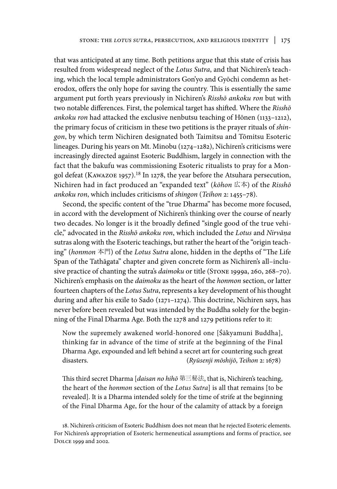that was anticipated at any time. Both petitions argue that this state of crisis has resulted from widespread neglect of the *Lotus Sutra*, and that Nichiren's teaching, which the local temple administrators Gon'yo and Gyōchi condemn as heterodox, offers the only hope for saving the country. This is essentially the same argument put forth years previously in Nichiren's *Risshō ankoku ron* but with two notable differences. First, the polemical target has shifted. Where the *Risshō ankoku ron* had attacked the exclusive nenbutsu teaching of Hōnen (1133–1212), the primary focus of criticism in these two petitions is the prayer rituals of *shingon*, by which term Nichiren designated both Taimitsu and Tōmitsu Esoteric lineages. During his years on Mt. Minobu (1274–1282), Nichiren's criticisms were increasingly directed against Esoteric Buddhism, largely in connection with the fact that the bakufu was commissioning Esoteric ritualists to pray for a Mongol defeat (Kawazoe 1957).18 In 1278, the year before the Atsuhara persecution, Nichiren had in fact produced an "expanded text" (*kōhon* 広本) of the *Risshō ankoku ron*, which includes criticisms of *shingon* (*Teihon* 2: 1455–78).

Second, the specific content of the "true Dharma" has become more focused, in accord with the development of Nichiren's thinking over the course of nearly two decades. No longer is it the broadly defined "single good of the true vehicle," advocated in the *Risshō ankoku ron*, which included the *Lotus* and *Nirvāṇa* sutras along with the Esoteric teachings, but rather the heart of the "origin teaching" (*honmon* 本門) of the *Lotus Sutra* alone, hidden in the depths of "The Life Span of the Tathāgata" chapter and given concrete form as Nichiren's all–inclusive practice of chanting the sutra's *daimoku* or title (STONE 1999a, 260, 268–70). Nichiren's emphasis on the *daimoku* as the heart of the *honmon* section, or latter fourteen chapters of the *Lotus Sutra*, represents a key development of his thought during and after his exile to Sado (1271–1274). This doctrine, Nichiren says, has never before been revealed but was intended by the Buddha solely for the beginning of the Final Dharma Age. Both the 1278 and 1279 petitions refer to it:

Now the supremely awakened world-honored one [Śākyamuni Buddha], thinking far in advance of the time of strife at the beginning of the Final Dharma Age, expounded and left behind a secret art for countering such great disasters. (*Ryūsenji mōshijō*, *Teihon* 2: 1678)

This third secret Dharma [*daisan no hihō* 第三秘法, that is, Nichiren's teaching, the heart of the *honmon* section of the *Lotus Sutra*] is all that remains [to be revealed]. It is a Dharma intended solely for the time of strife at the beginning of the Final Dharma Age, for the hour of the calamity of attack by a foreign

18. Nichiren's criticism of Esoteric Buddhism does not mean that he rejected Esoteric elements. For Nichiren's appropriation of Esoteric hermeneutical assumptions and forms of practice, see Dolce 1999 and 2002.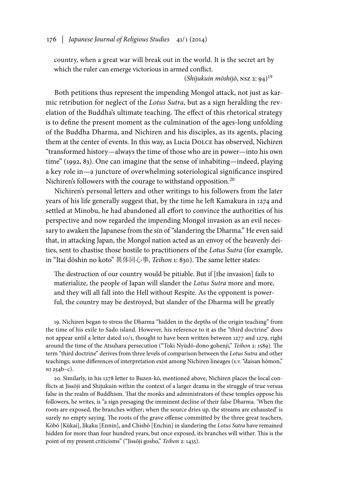country, when a great war will break out in the world. It is the secret art by which the ruler can emerge victorious in armed conflict.

(*Shijukuin mōshijō*, nsz 2: 94)<sup>19</sup>

Both petitions thus represent the impending Mongol attack, not just as karmic retribution for neglect of the *Lotus Sutra*, but as a sign heralding the revelation of the Buddha's ultimate teaching. The effect of this rhetorical strategy is to define the present moment as the culmination of the ages-long unfolding of the Buddha Dharma, and Nichiren and his disciples, as its agents, placing them at the center of events. In this way, as Lucia Dolce has observed, Nichiren "transformed history—always the time of those who are in power—into his own time" (1992, 83). One can imagine that the sense of inhabiting—indeed, playing a key role in—a juncture of overwhelming soteriological significance inspired Nichiren's followers with the courage to withstand opposition.<sup>20</sup>

Nichiren's personal letters and other writings to his followers from the later years of his life generally suggest that, by the time he left Kamakura in 1274 and settled at Minobu, he had abandoned all effort to convince the authorities of his perspective and now regarded the impending Mongol invasion as an evil necessary to awaken the Japanese from the sin of "slandering the Dharma." He even said that, in attacking Japan, the Mongol nation acted as an envoy of the heavenly deities, sent to chastise those hostile to practitioners of the *Lotus Sutra* (for example, in "Itai dōshin no koto" 異体同心事, *Teihon* 1: 830). The same letter states:

The destruction of our country would be pitiable. But if [the invasion] fails to materialize, the people of Japan will slander the *Lotus Sutra* more and more, and they will all fall into the Hell without Respite. As the opponent is powerful, the country may be destroyed, but slander of the Dharma will be greatly

19. Nichiren began to stress the Dharma "hidden in the depths of the origin teaching" from the time of his exile to Sado island. However, his reference to it as the "third doctrine" does not appear until a letter dated 10/1, thought to have been written between 1277 and 1279, right around the time of the Atsuhara persecution ("Toki Nyūdō-dono gohenji," *Teihon* 2: 1589). The term "third doctrine" derives from three levels of comparison between the *Lotus Sutra* and other teachings; some differences of interpretation exist among Nichiren lineages (s.v. "daisan hōmon," nj 254b–c).

20. Similarly, in his 1278 letter to Buzen-kō, mentioned above, Nichiren places the local conflicts at Jissōji and Shijukuin within the context of a larger drama in the struggle of true versus false in the realm of Buddhism. That the monks and administrators of these temples oppose his followers, he writes, is "a sign presaging the imminent decline of their false Dharma. 'When the roots are exposed, the branches wither; when the source dries up, the streams are exhausted' is surely no empty saying. The roots of the grave offense committed by the three great teachers, Kōbō [Kūkai], Jikaku [Ennin], and Chishō [Enchin] in slandering the *Lotus Sutra* have remained hidden for more than four hundred years, but once exposed, its branches will wither. This is the point of my present criticisms" ("Jissōji gosho," *Teihon* 2: 1435).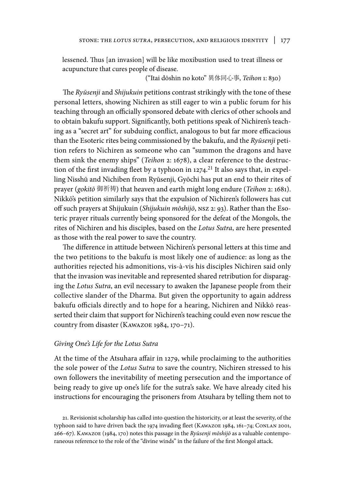lessened. Thus [an invasion] will be like moxibustion used to treat illness or acupuncture that cures people of disease.

("Itai dōshin no koto" 異体同心事, *Teihon* 1: 830)

The *Ryūsenji* and *Shijukuin* petitions contrast strikingly with the tone of these personal letters, showing Nichiren as still eager to win a public forum for his teaching through an officially sponsored debate with clerics of other schools and to obtain bakufu support. Significantly, both petitions speak of Nichiren's teaching as a "secret art" for subduing conflict, analogous to but far more efficacious than the Esoteric rites being commissioned by the bakufu, and the *Ryūsenji* petition refers to Nichiren as someone who can "summon the dragons and have them sink the enemy ships" (*Teihon* 2: 1678), a clear reference to the destruction of the first invading fleet by a typhoon in  $1274$ .<sup>21</sup> It also says that, in expelling Nisshū and Nichiben from Ryūsenji, Gyōchi has put an end to their rites of prayer (*gokitō* 御祈祷) that heaven and earth might long endure (*Teihon* 2: 1681). Nikkō's petition similarly says that the expulsion of Nichiren's followers has cut off such prayers at Shijukuin (*Shijukuin mōshijō*, nsz 2: 93). Rather than the Esoteric prayer rituals currently being sponsored for the defeat of the Mongols, the rites of Nichiren and his disciples, based on the *Lotus Sutra*, are here presented as those with the real power to save the country.

The difference in attitude between Nichiren's personal letters at this time and the two petitions to the bakufu is most likely one of audience: as long as the authorities rejected his admonitions, vis-à-vis his disciples Nichiren said only that the invasion was inevitable and represented shared retribution for disparaging the *Lotus Sutra*, an evil necessary to awaken the Japanese people from their collective slander of the Dharma. But given the opportunity to again address bakufu officials directly and to hope for a hearing, Nichiren and Nikkō reasserted their claim that support for Nichiren's teaching could even now rescue the country from disaster (Kawazoe 1984, 170–71).

#### *Giving One's Life for the Lotus Sutra*

At the time of the Atsuhara affair in 1279, while proclaiming to the authorities the sole power of the *Lotus Sutra* to save the country, Nichiren stressed to his own followers the inevitability of meeting persecution and the importance of being ready to give up one's life for the sutra's sake. We have already cited his instructions for encouraging the prisoners from Atsuhara by telling them not to

21. Revisionist scholarship has called into question the historicity, or at least the severity, of the typhoon said to have driven back the 1974 invading fleet (Kawazoe 1984, 161–74; Conlan 2001, 266–67). Kawazoe (1984, 170) notes this passage in the *Ryūsenji mōshijō* as a valuable contemporaneous reference to the role of the "divine winds" in the failure of the first Mongol attack.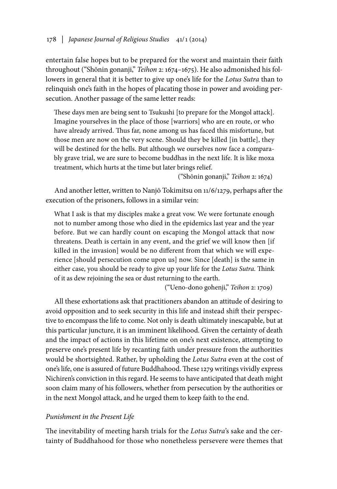entertain false hopes but to be prepared for the worst and maintain their faith throughout ("Shōnin gonanji," *Teihon* 2: 1674–1675). He also admonished his followers in general that it is better to give up one's life for the *Lotus Sutra* than to relinquish one's faith in the hopes of placating those in power and avoiding persecution. Another passage of the same letter reads:

These days men are being sent to Tsukushi [to prepare for the Mongol attack]. Imagine yourselves in the place of those [warriors] who are en route, or who have already arrived. Thus far, none among us has faced this misfortune, but those men are now on the very scene. Should they be killed [in battle], they will be destined for the hells. But although we ourselves now face a comparably grave trial, we are sure to become buddhas in the next life. It is like moxa treatment, which hurts at the time but later brings relief.

("Shōnin gonanji," *Teihon* 2: 1674)

And another letter, written to Nanjō Tokimitsu on 11/6/1279, perhaps after the execution of the prisoners, follows in a similar vein:

What I ask is that my disciples make a great vow. We were fortunate enough not to number among those who died in the epidemics last year and the year before. But we can hardly count on escaping the Mongol attack that now threatens. Death is certain in any event, and the grief we will know then [if killed in the invasion] would be no different from that which we will experience [should persecution come upon us] now. Since [death] is the same in either case, you should be ready to give up your life for the *Lotus Sutra*. Think of it as dew rejoining the sea or dust returning to the earth.

("Ueno-dono gohenji," *Teihon* 2: 1709)

All these exhortations ask that practitioners abandon an attitude of desiring to avoid opposition and to seek security in this life and instead shift their perspective to encompass the life to come. Not only is death ultimately inescapable, but at this particular juncture, it is an imminent likelihood. Given the certainty of death and the impact of actions in this lifetime on one's next existence, attempting to preserve one's present life by recanting faith under pressure from the authorities would be shortsighted. Rather, by upholding the *Lotus Sutra* even at the cost of one's life, one is assured of future Buddhahood. These 1279 writings vividly express Nichiren's conviction in this regard. He seems to have anticipated that death might soon claim many of his followers, whether from persecution by the authorities or in the next Mongol attack, and he urged them to keep faith to the end.

## *Punishment in the Present Life*

The inevitability of meeting harsh trials for the *Lotus Sutra*'s sake and the certainty of Buddhahood for those who nonetheless persevere were themes that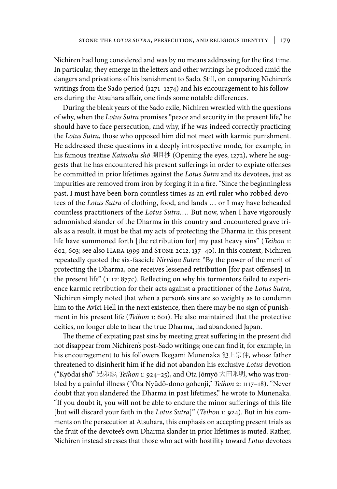Nichiren had long considered and was by no means addressing for the first time. In particular, they emerge in the letters and other writings he produced amid the dangers and privations of his banishment to Sado. Still, on comparing Nichiren's writings from the Sado period (1271–1274) and his encouragement to his followers during the Atsuhara affair, one finds some notable differences.

During the bleak years of the Sado exile, Nichiren wrestled with the questions of why, when the *Lotus Sutra* promises "peace and security in the present life," he should have to face persecution, and why, if he was indeed correctly practicing the *Lotus Sutra*, those who opposed him did not meet with karmic punishment. He addressed these questions in a deeply introspective mode, for example, in his famous treatise *Kaimoku shō* 開目抄 (Opening the eyes, 1272), where he suggests that he has encountered his present sufferings in order to expiate offenses he committed in prior lifetimes against the *Lotus Sutra* and its devotees, just as impurities are removed from iron by forging it in a fire. "Since the beginningless past, I must have been born countless times as an evil ruler who robbed devotees of the *Lotus Sutra* of clothing, food, and lands … or I may have beheaded countless practitioners of the *Lotus Sutra.*… But now, when I have vigorously admonished slander of the Dharma in this country and encountered grave trials as a result, it must be that my acts of protecting the Dharma in this present life have summoned forth [the retribution for] my past heavy sins" (*Teihon* 1: 602, 603; see also Hara 1999 and Stone 2012, 137–40). In this context, Nichiren repeatedly quoted the six-fascicle *Nirvāṇa Sutra*: "By the power of the merit of protecting the Dharma, one receives lessened retribution [for past offenses] in the present life" ( $\tau$  12: 877c). Reflecting on why his tormentors failed to experience karmic retribution for their acts against a practitioner of the *Lotus Sutra*, Nichiren simply noted that when a person's sins are so weighty as to condemn him to the Avīci Hell in the next existence, then there may be no sign of punishment in his present life (*Teihon* 1: 601). He also maintained that the protective deities, no longer able to hear the true Dharma, had abandoned Japan.

The theme of expiating past sins by meeting great suffering in the present did not disappear from Nichiren's post-Sado writings; one can find it, for example, in his encouragement to his followers Ikegami Munenaka 池上宗仲, whose father threatened to disinherit him if he did not abandon his exclusive *Lotus* devotion ("Kyōdai shō" 兄弟鈔, *Teihon* 1: 924–25), and Ōta Jōmyō 大田乗明, who was troubled by a painful illness ("Ōta Nyūdō-dono gohenji," *Teihon* 2: 1117–18). "Never doubt that you slandered the Dharma in past lifetimes," he wrote to Munenaka. "If you doubt it, you will not be able to endure the minor sufferings of this life [but will discard your faith in the *Lotus Sutra*]" (*Teihon* 1: 924). But in his comments on the persecution at Atsuhara, this emphasis on accepting present trials as the fruit of the devotee's own Dharma slander in prior lifetimes is muted. Rather, Nichiren instead stresses that those who act with hostility toward *Lotus* devotees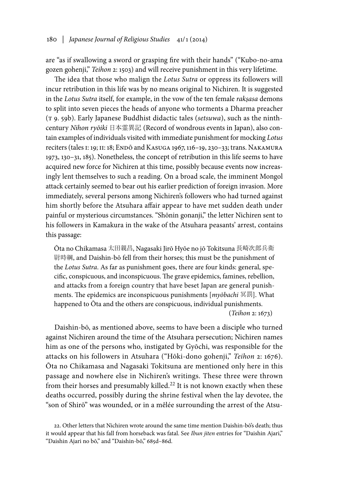are "as if swallowing a sword or grasping fire with their hands" ("Kubo-no-ama gozen gohenji," *Teihon* 2: 1503) and will receive punishment in this very lifetime.

The idea that those who malign the *Lotus Sutra* or oppress its followers will incur retribution in this life was by no means original to Nichiren. It is suggested in the *Lotus Sutra* itself, for example, in the vow of the ten female *rakṣasa* demons to split into seven pieces the heads of anyone who torments a Dharma preacher (t 9. 59b). Early Japanese Buddhist didactic tales (*setsuwa*), such as the ninthcentury *Nihon ryōiki* 日本霊異記 (Record of wondrous events in Japan), also contain examples of individuals visited with immediate punishment for mocking *Lotus* reciters (tales I: 19; II: 18; ENDŌ and KASUGA 1967, 116-19, 230-33; trans. NAKAMURA 1973, 130–31, 185). Nonetheless, the concept of retribution in this life seems to have acquired new force for Nichiren at this time, possibly because events now increasingly lent themselves to such a reading. On a broad scale, the imminent Mongol attack certainly seemed to bear out his earlier prediction of foreign invasion. More immediately, several persons among Nichiren's followers who had turned against him shortly before the Atsuhara affair appear to have met sudden death under painful or mysterious circumstances. "Shōnin gonanji," the letter Nichiren sent to his followers in Kamakura in the wake of the Atsuhara peasants' arrest, contains this passage:

Ōta no Chikamasa 太田親昌, Nagasaki Jirō Hyōe no jō Tokitsuna 長崎次郎兵衛 尉時綱, and Daishin-bō fell from their horses; this must be the punishment of the *Lotus Sutra*. As far as punishment goes, there are four kinds: general, specific, conspicuous, and inconspicuous. The grave epidemics, famines, rebellion, and attacks from a foreign country that have beset Japan are general punishments. The epidemics are inconspicuous punishments [*myōbachi* 冥罰]. What happened to Ōta and the others are conspicuous, individual punishments. (*Teihon* 2: 1673)

Daishin-bō, as mentioned above, seems to have been a disciple who turned against Nichiren around the time of the Atsuhara persecution; Nichiren names him as one of the persons who, instigated by Gyōchi, was responsible for the attacks on his followers in Atsuhara ("Hōki-dono gohenji," *Teihon* 2: 1676). Ōta no Chikamasa and Nagasaki Tokitsuna are mentioned only here in this passage and nowhere else in Nichiren's writings. These three were thrown from their horses and presumably killed.<sup>22</sup> It is not known exactly when these deaths occurred, possibly during the shrine festival when the lay devotee, the "son of Shirō" was wounded, or in a mêlée surrounding the arrest of the Atsu-

<sup>22.</sup> Other letters that Nichiren wrote around the same time mention Daishin-bō's death; thus it would appear that his fall from horseback was fatal. See *Ibun jiten* entries for "Daishin Ajari," "Daishin Ajari no bō," and "Daishin-bō," 685d–86d.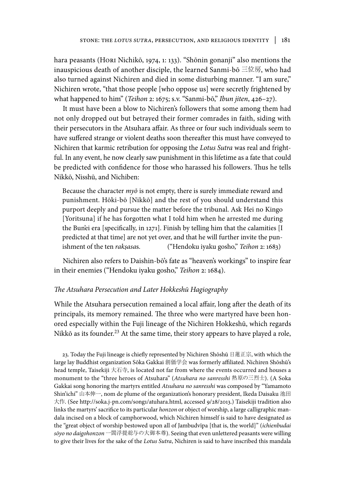hara peasants (Hori Nichikō, 1974, 1: 133). "Shōnin gonanji" also mentions the inauspicious death of another disciple, the learned Sanmi-bō 三位房, who had also turned against Nichiren and died in some disturbing manner. "I am sure," Nichiren wrote, "that those people [who oppose us] were secretly frightened by what happened to him" (*Teihon* 2: 1675; s.v. "Sanmi-bō," *Ibun jiten*, 426–27).

It must have been a blow to Nichiren's followers that some among them had not only dropped out but betrayed their former comrades in faith, siding with their persecutors in the Atsuhara affair. As three or four such individuals seem to have suffered strange or violent deaths soon thereafter this must have conveyed to Nichiren that karmic retribution for opposing the *Lotus Sutra* was real and frightful. In any event, he now clearly saw punishment in this lifetime as a fate that could be predicted with confidence for those who harassed his followers. Thus he tells Nikkō, Nisshū, and Nichiben:

Because the character *myō* is not empty, there is surely immediate reward and punishment. Hōki-bō [Nikkō] and the rest of you should understand this purport deeply and pursue the matter before the tribunal. Ask Hei no Kingo [Yoritsuna] if he has forgotten what I told him when he arrested me during the Bun'ei era [specifically, in 1271]. Finish by telling him that the calamities [I predicted at that time] are not yet over, and that he will further invite the punishment of the ten *rakṣasa*s. ("Hendoku iyaku gosho," *Teihon* 2: 1683)

Nichiren also refers to Daishin-bō's fate as "heaven's workings" to inspire fear in their enemies ("Hendoku iyaku gosho," *Teihon* 2: 1684).

## *The Atsuhara Persecution and Later Hokkeshū Hagiography*

While the Atsuhara persecution remained a local affair, long after the death of its principals, its memory remained. The three who were martyred have been honored especially within the Fuji lineage of the Nichiren Hokkeshū, which regards Nikkō as its founder.<sup>23</sup> At the same time, their story appears to have played a role,

23. Today the Fuji lineage is chiefly represented by Nichiren Shōshū 日蓮正宗, with which the large lay Buddhist organization Sōka Gakkai 創価学会 was formerly affiliated. Nichiren Shōshū's head temple, Taisekiji 大石寺, is located not far from where the events occurred and houses a monument to the "three heroes of Atsuhara" (*Atsuhara no sanresshi* 熱原の三烈士). (A Soka Gakkai song honoring the martyrs entitled *Atsuhara no sanresshi* was composed by "Yamamoto Shin'ichi" 山本伸一, nom de plume of the organization's honorary president, Ikeda Daisaku 池田 大作. (See http://soka.j-pn.com/song1/atuhara.html, accessed 9/28/2013.) Taisekiji tradition also links the martyrs' sacrifice to its particular *honzon* or object of worship, a large calligraphic mandala incised on a block of camphorwood, which Nichiren himself is said to have designated as the "great object of worship bestowed upon all of Jambudvīpa [that is, the world]" (*ichienbudai sōyo no daigohonzon* 一閻浮提総与の大御本尊). Seeing that even unlettered peasants were willing to give their lives for the sake of the *Lotus Sutra*, Nichiren is said to have inscribed this mandala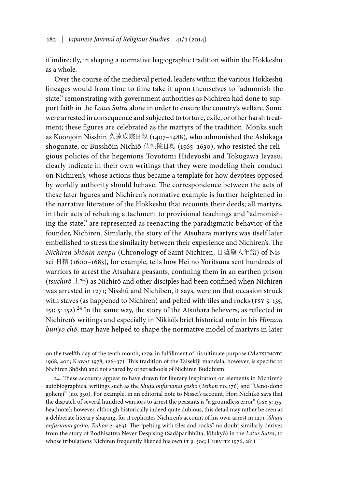if indirectly, in shaping a normative hagiographic tradition within the Hokkeshū as a whole.

Over the course of the medieval period, leaders within the various Hokkeshū lineages would from time to time take it upon themselves to "admonish the state," remonstrating with government authorities as Nichiren had done to support faith in the *Lotus Sutra* alone in order to ensure the country's welfare. Some were arrested in consequence and subjected to torture, exile, or other harsh treatment; these figures are celebrated as the martyrs of the tradition. Monks such as Kuonjōin Nisshin 久遠成院日親 (1407–1488), who admonished the Ashikaga shogunate, or Busshōin Nichiō 仏性院日奥 (1565–1630), who resisted the religious policies of the hegemons Toyotomi Hideyoshi and Tokugawa Ieyasu, clearly indicate in their own writings that they were modeling their conduct on Nichiren's, whose actions thus became a template for how devotees opposed by worldly authority should behave. The correspondence between the acts of these later figures and Nichiren's normative example is further heightened in the narrative literature of the Hokkeshū that recounts their deeds; all martyrs, in their acts of rebuking attachment to provisional teachings and "admonishing the state," are represented as reenacting the paradigmatic behavior of the founder, Nichiren. Similarly, the story of the Atsuhara martyrs was itself later embellished to stress the similarity between their experience and Nichiren's. The *Nichiren Shōnin nenpu* (Chronology of Saint Nichiren, 日蓮聖人年譜) of Nissei 日精 (1600–1683), for example, tells how Hei no Yoritsuna sent hundreds of warriors to arrest the Atsuhara peasants, confining them in an earthen prison (*tsuchirō* 土牢) as Nichirō and other disciples had been confined when Nichiren was arrested in 1271; Nisshū and Nichiben, it says, were on that occasion struck with staves (as happened to Nichiren) and pelted with tiles and rocks (FSY 5: 135, 151; 5: 152).<sup>24</sup> In the same way, the story of the Atsuhara believers, as reflected in Nichiren's writings and especially in Nikkō's brief historical note in his *Honzon bun'yo chō*, may have helped to shape the normative model of martyrs in later

on the twelfth day of the tenth month, 1279, in fulfillment of his ultimate purpose (Matsumoto 1968, 400; Kawai 1978, 126–37). This tradition of the Taisekiji mandala, however, is specific to Nichiren Shōshū and not shared by other schools of Nichiren Buddhism.

<sup>24.</sup> These accounts appear to have drawn for literary inspiration on elements in Nichiren's autobiographical writings such as the *Shuju onfurumai gosho* (*Teihon* no. 176) and "Ueno-dono gohenji" (no. 330). For example, in an editorial note to Nissei's account, Hori Nichikō says that the dispatch of several hundred warriors to arrest the peasants is "a groundless error" (FSY 5: 135, headnote); however, although historically indeed quite dubious, this detail may rather be seen as a deliberate literary shaping, for it replicates Nichiren's account of his own arrest in 1271 (*Shuju onfurumai gosho*, *Teihon* 2: 963). The "pelting with tiles and rocks" no doubt similarly derives from the story of Bodhisattva Never Despising (Sadāparibhūta, Jōfukyō) in the *Lotus Sutra*, to whose tribulations Nichiren frequently likened his own (T 9. 50c; HURVITZ 1976, 281).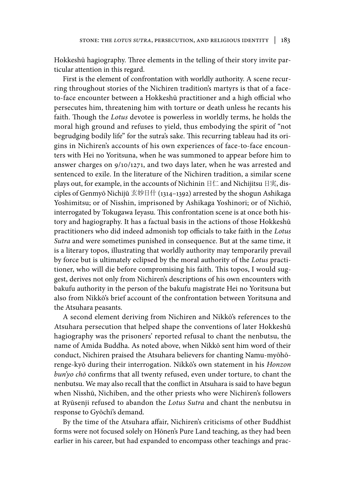Hokkeshū hagiography. Three elements in the telling of their story invite particular attention in this regard.

First is the element of confrontation with worldly authority. A scene recurring throughout stories of the Nichiren tradition's martyrs is that of a faceto-face encounter between a Hokkeshū practitioner and a high official who persecutes him, threatening him with torture or death unless he recants his faith. Though the *Lotus* devotee is powerless in worldly terms, he holds the moral high ground and refuses to yield, thus embodying the spirit of "not begrudging bodily life" for the sutra's sake. This recurring tableau had its origins in Nichiren's accounts of his own experiences of face-to-face encounters with Hei no Yoritsuna, when he was summoned to appear before him to answer charges on 9/10/1271, and two days later, when he was arrested and sentenced to exile. In the literature of the Nichiren tradition, a similar scene plays out, for example, in the accounts of Nichinin 日仁 and Nichijitsu 日実, disciples of Genmyō Nichijū 玄妙日什 (1314–1392) arrested by the shogun Ashikaga Yoshimitsu; or of Nisshin, imprisoned by Ashikaga Yoshinori; or of Nichiō, interrogated by Tokugawa Ieyasu. This confrontation scene is at once both history and hagiography. It has a factual basis in the actions of those Hokkeshū practitioners who did indeed admonish top officials to take faith in the *Lotus Sutra* and were sometimes punished in consequence. But at the same time, it is a literary topos, illustrating that worldly authority may temporarily prevail by force but is ultimately eclipsed by the moral authority of the *Lotus* practitioner, who will die before compromising his faith. This topos, I would suggest, derives not only from Nichiren's descriptions of his own encounters with bakufu authority in the person of the bakufu magistrate Hei no Yoritsuna but also from Nikkō's brief account of the confrontation between Yoritsuna and the Atsuhara peasants.

A second element deriving from Nichiren and Nikkō's references to the Atsuhara persecution that helped shape the conventions of later Hokkeshū hagiography was the prisoners' reported refusal to chant the nenbutsu, the name of Amida Buddha. As noted above, when Nikkō sent him word of their conduct, Nichiren praised the Atsuhara believers for chanting Namu-myōhōrenge-kyō during their interrogation. Nikkō's own statement in his *Honzon bun'yo chō* confirms that all twenty refused, even under torture, to chant the nenbutsu. We may also recall that the conflict in Atsuhara is said to have begun when Nisshū, Nichiben, and the other priests who were Nichiren's followers at Ryūsenji refused to abandon the *Lotus Sutra* and chant the nenbutsu in response to Gyōchi's demand.

By the time of the Atsuhara affair, Nichiren's criticisms of other Buddhist forms were not focused solely on Hōnen's Pure Land teaching, as they had been earlier in his career, but had expanded to encompass other teachings and prac-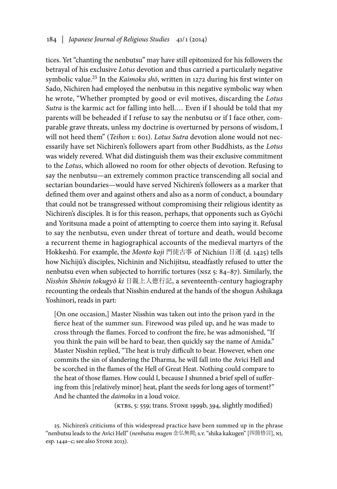tices. Yet "chanting the nenbutsu" may have still epitomized for his followers the betrayal of his exclusive *Lotus* devotion and thus carried a particularly negative symbolic value.25 In the *Kaimoku shō*, written in 1272 during his first winter on Sado, Nichiren had employed the nenbutsu in this negative symbolic way when he wrote, "Whether prompted by good or evil motives, discarding the *Lotus Sutra* is the karmic act for falling into hell.… Even if I should be told that my parents will be beheaded if I refuse to say the nenbutsu or if I face other, comparable grave threats, unless my doctrine is overturned by persons of wisdom, I will not heed them" (*Teihon* 1: 601). *Lotus Sutra* devotion alone would not necessarily have set Nichiren's followers apart from other Buddhists, as the *Lotus* was widely revered. What did distinguish them was their exclusive commitment to the *Lotus*, which allowed no room for other objects of devotion. Refusing to say the nenbutsu—an extremely common practice transcending all social and sectarian boundaries—would have served Nichiren's followers as a marker that defined them over and against others and also as a norm of conduct, a boundary that could not be transgressed without compromising their religious identity as Nichiren's disciples. It is for this reason, perhaps, that opponents such as Gyōchi and Yoritsuna made a point of attempting to coerce them into saying it. Refusal to say the nenbutsu, even under threat of torture and death, would become a recurrent theme in hagiographical accounts of the medieval martyrs of the Hokkeshū. For example, the *Monto koji* 門徒古事 of Nichiun 日運 (d. 1425) tells how Nichijū's disciples, Nichinin and Nichijitsu, steadfastly refused to utter the nenbutsu even when subjected to horrific tortures (nsz 5: 84–87). Similarly, the *Nisshin Shōnin tokugyō ki* 日親上人徳行記, a seventeenth-century hagiography recounting the ordeals that Nisshin endured at the hands of the shogun Ashikaga Yoshinori, reads in part:

[On one occasion,] Master Nisshin was taken out into the prison yard in the fierce heat of the summer sun. Firewood was piled up, and he was made to cross through the flames. Forced to confront the fire, he was admonished, "If you think the pain will be hard to bear, then quickly say the name of Amida." Master Nisshin replied, "The heat is truly difficult to bear. However, when one commits the sin of slandering the Dharma, he will fall into the Avīci Hell and be scorched in the flames of the Hell of Great Heat. Nothing could compare to the heat of those flames. How could I, because I shunned a brief spell of suffering from this [relatively minor] heat, plant the seeds for long ages of torment?" And he chanted the *daimoku* in a loud voice.

(KTBS, 5: 559; trans. STONE 1999b, 394, slightly modified)

<sup>25.</sup> Nichiren's criticisms of this widespread practice have been summed up in the phrase "nenbutsu leads to the Avīci Hell" (*nenbutsu mugen* 念仏無間; s.v. "shika kakugen" [四箇格言], nj, esp. 144a–c; see also Stone 2013).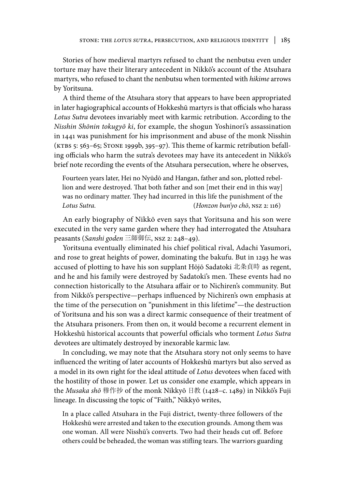Stories of how medieval martyrs refused to chant the nenbutsu even under torture may have their literary antecedent in Nikkō's account of the Atsuhara martyrs, who refused to chant the nenbutsu when tormented with *hikime* arrows by Yoritsuna.

A third theme of the Atsuhara story that appears to have been appropriated in later hagiographical accounts of Hokkeshū martyrs is that officials who harass *Lotus Sutra* devotees invariably meet with karmic retribution. According to the *Nisshin Shōnin tokugyō ki*, for example, the shogun Yoshinori's assassination in 1441 was punishment for his imprisonment and abuse of the monk Nisshin (KTBS 5:  $563-65$ ; STONE 1999b, 395–97). This theme of karmic retribution befalling officials who harm the sutra's devotees may have its antecedent in Nikkō's brief note recording the events of the Atsuhara persecution, where he observes,

Fourteen years later, Hei no Nyūdō and Hangan, father and son, plotted rebellion and were destroyed. That both father and son [met their end in this way] was no ordinary matter. They had incurred in this life the punishment of the *Lotus Sutra.* (*Honzon bun'yo chō*, nsz 2: 116)

An early biography of Nikkō even says that Yoritsuna and his son were executed in the very same garden where they had interrogated the Atsuhara peasants (*Sanshi goden* 三師御伝, nsz 2: 248–49).

Yoritsuna eventually eliminated his chief political rival, Adachi Yasumori, and rose to great heights of power, dominating the bakufu. But in 1293 he was accused of plotting to have his son supplant Hōjō Sadatoki 北条貞時 as regent, and he and his family were destroyed by Sadatoki's men. These events had no connection historically to the Atsuhara affair or to Nichiren's community. But from Nikkō's perspective—perhaps influenced by Nichiren's own emphasis at the time of the persecution on "punishment in this lifetime"—the destruction of Yoritsuna and his son was a direct karmic consequence of their treatment of the Atsuhara prisoners. From then on, it would become a recurrent element in Hokkeshū historical accounts that powerful officials who torment *Lotus Sutra* devotees are ultimately destroyed by inexorable karmic law.

In concluding, we may note that the Atsuhara story not only seems to have influenced the writing of later accounts of Hokkeshū martyrs but also served as a model in its own right for the ideal attitude of *Lotus* devotees when faced with the hostility of those in power. Let us consider one example, which appears in the *Musaka shō* 穆作抄 of the monk Nikkyō 日教 (1428–c. 1489) in Nikkō's Fuji lineage. In discussing the topic of "Faith," Nikkyō writes,

In a place called Atsuhara in the Fuji district, twenty-three followers of the Hokkeshū were arrested and taken to the execution grounds. Among them was one woman. All were Nisshū's converts. Two had their heads cut off. Before others could be beheaded, the woman was stifling tears. The warriors guarding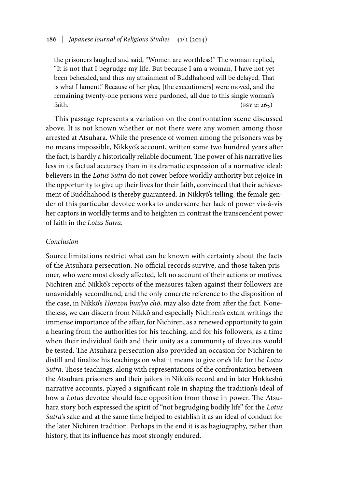the prisoners laughed and said, "Women are worthless!" The woman replied, "It is not that I begrudge my life. But because I am a woman, I have not yet been beheaded, and thus my attainment of Buddhahood will be delayed. That is what I lament." Because of her plea, [the executioners] were moved, and the remaining twenty-one persons were pardoned, all due to this single woman's faith.  $(FST 2: 265)$ 

This passage represents a variation on the confrontation scene discussed above. It is not known whether or not there were any women among those arrested at Atsuhara. While the presence of women among the prisoners was by no means impossible, Nikkyō's account, written some two hundred years after the fact, is hardly a historically reliable document. The power of his narrative lies less in its factual accuracy than in its dramatic expression of a normative ideal: believers in the *Lotus Sutra* do not cower before worldly authority but rejoice in the opportunity to give up their lives for their faith, convinced that their achievement of Buddhahood is thereby guaranteed. In Nikkyō's telling, the female gender of this particular devotee works to underscore her lack of power vis-à-vis her captors in worldly terms and to heighten in contrast the transcendent power of faith in the *Lotus Sutra*.

### *Conclusion*

Source limitations restrict what can be known with certainty about the facts of the Atsuhara persecution. No official records survive, and those taken prisoner, who were most closely affected, left no account of their actions or motives. Nichiren and Nikkō's reports of the measures taken against their followers are unavoidably secondhand, and the only concrete reference to the disposition of the case, in Nikkō's *Honzon bun'yo chō*, may also date from after the fact. Nonetheless, we can discern from Nikkō and especially Nichiren's extant writings the immense importance of the affair, for Nichiren, as a renewed opportunity to gain a hearing from the authorities for his teaching, and for his followers, as a time when their individual faith and their unity as a community of devotees would be tested. The Atsuhara persecution also provided an occasion for Nichiren to distill and finalize his teachings on what it means to give one's life for the *Lotus Sutra*. Those teachings, along with representations of the confrontation between the Atsuhara prisoners and their jailors in Nikkō's record and in later Hokkeshū narrative accounts, played a significant role in shaping the tradition's ideal of how a *Lotus* devotee should face opposition from those in power. The Atsuhara story both expressed the spirit of "not begrudging bodily life" for the *Lotus Sutra*'s sake and at the same time helped to establish it as an ideal of conduct for the later Nichiren tradition. Perhaps in the end it is as hagiography, rather than history, that its influence has most strongly endured.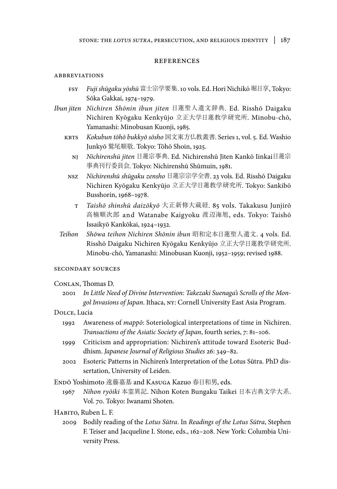#### references

### **ABBREVIATIONS**

- fsy *Fuji shūgaku yōshū* 富士宗学要集. 10 vols. Ed. Hori Nichikō 堀日享, Tokyo: Sōka Gakkai, 1974–1979.
- *Ibun jiten Nichiren Shōnin ibun jiten* 日蓮聖人遺文辞典. Ed. Risshō Daigaku Nichiren Kyōgaku Kenkyūjo 立正大学日蓮教学研究所. Minobu-chō, Yamanashi: Minobusan Kuonji, 1985.
	- kbts *Kokubun tōhō bukkyō sōsho* 国文東方仏教叢書. Series 1, vol. 5. Ed. Washio Junkyō 鷲尾順敬. Tokyo: Tōhō Shoin, 1925.
		- nj *Nichirenshū jiten* 日蓮宗事典. Ed. Nichirenshū Jiten Kankō Iinkai日蓮宗 事典刊行委員会. Tokyo: Nichirenshū Shūmuin, 1981.
		- nsz *Nichirenshū shūgaku zensho* 日蓮宗宗学全書. 23 vols. Ed. Risshō Daigaku Nichiren Kyōgaku Kenkyūjo 立正大学日蓮教学研究所. Tokyo: Sankibō Busshorin, 1968–1978.
			- t *Taishō shinshū daizōkyō* 大正新修大蔵経. 85 vols. Takakusu Junjirō 高楠順次郎 and Watanabe Kaigyoku 渡辺海旭, eds. Tokyo: Taishō Issaikyō Kankōkai, 1924–1932.
	- *Teihon Shōwa teihon Nichiren Shōnin ibun* 昭和定本日蓮聖人遺文. 4 vols. Ed. Risshō Daigaku Nichiren Kyōgaku Kenkyūjo 立正大学日蓮教学研究所. Minobu-chō, Yamanashi: Minobusan Kuonji, 1952–1959; revised 1988.

#### secondary sources

#### Conlan, Thomas D.

2001 *In Little Need of Divine Intervention: Takezaki Suenaga's Scrolls of the Mongol Invasions of Japan*. Ithaca, ny: Cornell University East Asia Program.

#### Dolce, Lucia

- 1992 Awareness of *mappō*: Soteriological interpretations of time in Nichiren. *Transactions of the Asiatic Society of Japan*, fourth series, 7: 81–106.
- 1999 Criticism and appropriation: Nichiren's attitude toward Esoteric Buddhism. *Japanese Journal of Religious Studies* 26: 349–82.
- 2002 Esoteric Patterns in Nichiren's Interpretation of the Lotus Sūtra. PhD dissertation, University of Leiden.

Endō Yoshimoto 遠藤嘉基 and Kasuga Kazuo 春日和男, eds.

- 1967 *Nihon ryōiki* 本霊異記. Nihon Koten Bungaku Taikei 日本古典文学大系. Vol. 70. Tokyo: Iwanami Shoten.
- Habito, Ruben L. F.
	- 2009 Bodily reading of the *Lotus Sūtra*. In *Readings of the Lotus Sūtra*, Stephen F. Teiser and Jacqueline I. Stone, eds., 162–208. New York: Columbia University Press.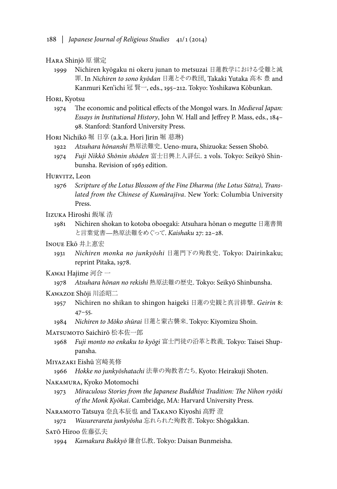#### Hara Shinjō 原 愼定

1999 Nichiren kyōgaku ni okeru junan to metsuzai 日蓮教学における受難と滅 罪. In *Nichiren to sono kyōdan* 日蓮とその教団, Takaki Yutaka 高木 豊 and Kanmuri Ken'ichi 冠 賢一, eds., 195–212. Tokyo: Yoshikawa Kōbunkan.

#### Hori, Kyotsu

1974 The economic and political effects of the Mongol wars. In *Medieval Japan: Essays in Institutional History*, John W. Hall and Jeffrey P. Mass, eds., 184– 98. Stanford: Stanford University Press.

#### Hori Nichikō 堀 日享 (a.k.a. Hori Jirin 堀 慈琳)

- 1922 *Atsuhara hōnanshi* 熱原法難史. Ueno-mura, Shizuoka: Sessen Shobō.
- 1974 *Fuji Nikkō Shōnin shōden* 富士日興上人詳伝. 2 vols. Tokyo: Seikyō Shinbunsha. Revision of 1963 edition.

# Hurvitz, Leon

1976 *Scripture of the Lotus Blossom of the Fine Dharma (the Lotus Sūtra), Translated from the Chinese of Kumārajīva*. New York: Columbia University Press.

# Iizuka Hiroshi 飯塚 浩

1981 Nichiren shokan to kotoba oboegaki: Atsuhara hōnan o megutte 日蓮書簡 と言葉覚書—熱原法難をめぐって. *Kaishaku* 27: 22–28.

### Inoue Ekō 井上惠宏

1931 *Nichiren monka no junkyōshi* 日蓮門下の殉教史. Tokyo: Dairinkaku; reprint Pitaka, 1978.

# Kawai Hajime 河合 一

1978 *Atsuhara hōnan no rekishi* 熱原法難の歴史. Tokyo: Seikyō Shinbunsha.

#### Kawazoe Shōji 川添昭二

- 1957 Nichiren no shikan to shingon haigeki 日蓮の史観と真言排撃. *Geirin* 8: 47–55.
- 1984 *Nichiren to Mōko shūrai* 日蓮と蒙古襲来. Tokyo: Kiyomizu Shoin.

#### MATSUMOTO Saichirō 松本佐一郎

1968 *Fuji monto no enkaku to kyōgi* 富士門徒の沿革と教義. Tokyo: Taisei Shuppansha.

### Miyazaki Eishū 宮崎英修

1966 *Hokke no junkyōshatachi* 法華の殉教者たち. Kyoto: Heirakuji Shoten.

### Nakamura, Kyoko Motomochi

1973 *Miraculous Stories from the Japanese Buddhist Tradition: The Nihon ryōiki of the Monk Kyōkai*. Cambridge, MA: Harvard University Press.

Naramoto Tatsuya 奈良本辰也 and Takano Kiyoshi 高野 澄

1972 *Wasurerareta junkyōsha* 忘れられた殉教者. Tokyo: Shōgakkan.

#### Satō Hiroo 佐藤弘夫

1994 *Kamakura Bukkyō* 鎌倉仏教. Tokyo: Daisan Bunmeisha.